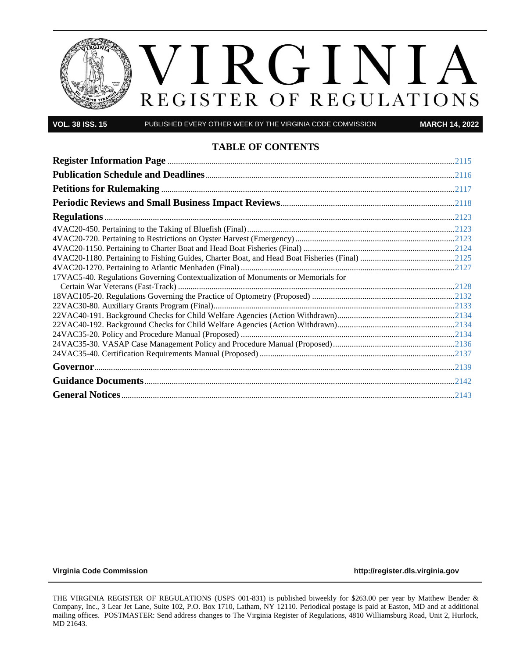

**VOL. 38 ISS. 15** PUBLISHED EVERY OTHER WEEK BY THE VIRGINIA CODE COMMISSION **MARCH 14, 2022**

# **TABLE OF CONTENTS**

| 17VAC5-40. Regulations Governing Contextualization of Monuments or Memorials for |  |
|----------------------------------------------------------------------------------|--|
|                                                                                  |  |
|                                                                                  |  |
|                                                                                  |  |
|                                                                                  |  |
|                                                                                  |  |
|                                                                                  |  |
|                                                                                  |  |
|                                                                                  |  |
|                                                                                  |  |
|                                                                                  |  |
|                                                                                  |  |

**[Virginia Code Commission](http://register.dls.virginia.gov/) [http://register.dls.virginia.gov](http://register.dls.virginia.gov/)**

THE VIRGINIA REGISTER OF REGULATIONS (USPS 001-831) is published biweekly for \$263.00 per year by Matthew Bender & Company, Inc., 3 Lear Jet Lane, Suite 102, P.O. Box 1710, Latham, NY 12110. Periodical postage is paid at Easton, MD and at additional mailing offices. POSTMASTER: Send address changes to The Virginia Register of Regulations, 4810 Williamsburg Road, Unit 2, Hurlock, MD 21643.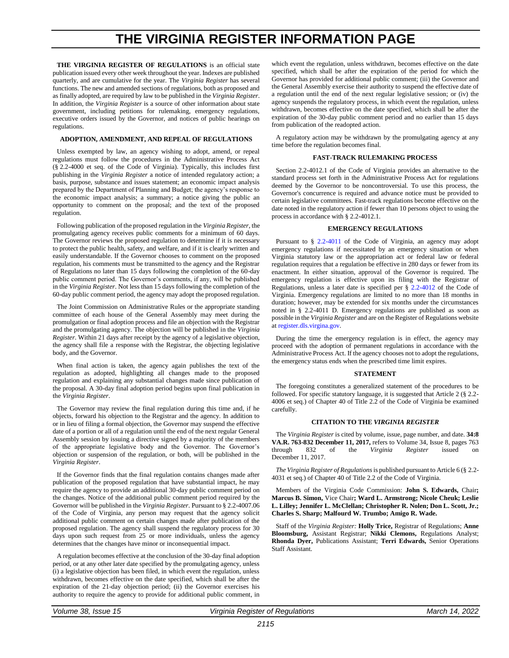# **THE VIRGINIA REGISTER INFORMATION PAGE**

<span id="page-2-0"></span>THE VIRGINIA REGISTER OF REGULATIONS is an official state publication issued every other week throughout the year. Indexes are published quarterly, and are cumulative for the year. The *Virginia Register* has several functions. The new and amended sections of regulations, both as proposed and as finally adopted, are required by law to be published in the *Virginia Register*. In addition, the *Virginia Register* is a source of other information about state government, including petitions for rulemaking, emergency regulations, executive orders issued by the Governor, and notices of public hearings on regulations.

#### **ADOPTION, AMENDMENT, AND REPEAL OF REGULATIONS**

Unless exempted by law, an agency wishing to adopt, amend, or repeal regulations must follow the procedures in the Administrative Process Act (§ 2.2-4000 et seq. of the Code of Virginia). Typically, this includes first publishing in the *Virginia Register* a notice of intended regulatory action; a basis, purpose, substance and issues statement; an economic impact analysis prepared by the Department of Planning and Budget; the agency's response to the economic impact analysis; a summary; a notice giving the public an opportunity to comment on the proposal; and the text of the proposed regulation.

Following publication of the proposed regulation in the *Virginia Register*, the promulgating agency receives public comments for a minimum of 60 days. The Governor reviews the proposed regulation to determine if it is necessary to protect the public health, safety, and welfare, and if it is clearly written and easily understandable. If the Governor chooses to comment on the proposed regulation, his comments must be transmitted to the agency and the Registrar of Regulations no later than 15 days following the completion of the 60-day public comment period. The Governor's comments, if any, will be published in the *Virginia Register*. Not less than 15 days following the completion of the 60-day public comment period, the agency may adopt the proposed regulation.

The Joint Commission on Administrative Rules or the appropriate standing committee of each house of the General Assembly may meet during the promulgation or final adoption process and file an objection with the Registrar and the promulgating agency. The objection will be published in the *Virginia Register*. Within 21 days after receipt by the agency of a legislative objection, the agency shall file a response with the Registrar, the objecting legislative body, and the Governor.

When final action is taken, the agency again publishes the text of the regulation as adopted, highlighting all changes made to the proposed regulation and explaining any substantial changes made since publication of the proposal. A 30-day final adoption period begins upon final publication in the *Virginia Register*.

The Governor may review the final regulation during this time and, if he objects, forward his objection to the Registrar and the agency. In addition to or in lieu of filing a formal objection, the Governor may suspend the effective date of a portion or all of a regulation until the end of the next regular General Assembly session by issuing a directive signed by a majority of the members of the appropriate legislative body and the Governor. The Governor's objection or suspension of the regulation, or both, will be published in the *Virginia Register*.

If the Governor finds that the final regulation contains changes made after publication of the proposed regulation that have substantial impact, he may require the agency to provide an additional 30-day public comment period on the changes. Notice of the additional public comment period required by the Governor will be published in the *Virginia Register*. Pursuant to § 2.2-4007.06 of the Code of Virginia, any person may request that the agency solicit additional public comment on certain changes made after publication of the proposed regulation. The agency shall suspend the regulatory process for 30 days upon such request from 25 or more individuals, unless the agency determines that the changes have minor or inconsequential impact.

A regulation becomes effective at the conclusion of the 30-day final adoption period, or at any other later date specified by the promulgating agency, unless (i) a legislative objection has been filed, in which event the regulation, unless withdrawn, becomes effective on the date specified, which shall be after the expiration of the 21-day objection period; (ii) the Governor exercises his authority to require the agency to provide for additional public comment, in which event the regulation, unless withdrawn, becomes effective on the date specified, which shall be after the expiration of the period for which the Governor has provided for additional public comment; (iii) the Governor and the General Assembly exercise their authority to suspend the effective date of a regulation until the end of the next regular legislative session; or (iv) the agency suspends the regulatory process, in which event the regulation, unless withdrawn, becomes effective on the date specified, which shall be after the expiration of the 30-day public comment period and no earlier than 15 days from publication of the readopted action.

A regulatory action may be withdrawn by the promulgating agency at any time before the regulation becomes final.

#### **FAST-TRACK RULEMAKING PROCESS**

Section 2.2-4012.1 of the Code of Virginia provides an alternative to the standard process set forth in the Administrative Process Act for regulations deemed by the Governor to be noncontroversial. To use this process, the Governor's concurrence is required and advance notice must be provided to certain legislative committees. Fast-track regulations become effective on the date noted in the regulatory action if fewer than 10 persons object to using the process in accordance with § 2.2-4012.1.

#### **EMERGENCY REGULATIONS**

Pursuant to § [2.2-4011](https://law.lis.virginia.gov/vacode/2.2-4011/) of the Code of Virginia, an agency may adopt emergency regulations if necessitated by an emergency situation or when Virginia statutory law or the appropriation act or federal law or federal regulation requires that a regulation be effective in 280 days or fewer from its enactment. In either situation, approval of the Governor is required. The emergency regulation is effective upon its filing with the Registrar of Regulations, unless a later date is specified per § [2.2-4012](https://law.lis.virginia.gov/vacode/2.2-4011/) of the Code of Virginia. Emergency regulations are limited to no more than 18 months in duration; however, may be extended for six months under the circumstances noted in § 2.2-4011 D. Emergency regulations are published as soon as possible in the *Virginia Register* and are on the Register of Regulations website a[t register.dls.virgina.gov.](http://register.dls.virgina.gov/)

During the time the emergency regulation is in effect, the agency may proceed with the adoption of permanent regulations in accordance with the Administrative Process Act. If the agency chooses not to adopt the regulations, the emergency status ends when the prescribed time limit expires.

#### **STATEMENT**

The foregoing constitutes a generalized statement of the procedures to be followed. For specific statutory language, it is suggested that Article 2 (§ 2.2- 4006 et seq.) of Chapter 40 of Title 2.2 of the Code of Virginia be examined carefully.

#### **CITATION TO THE** *VIRGINIA REGISTER*

The *Virginia Register* is cited by volume, issue, page number, and date. **34:8 VA.R. 763-832 December 11, 2017,** refers to Volume 34, Issue 8, pages 763 through 832 of the *Virginia Register* issued on December 11, 2017.

*The Virginia Register of Regulations*is published pursuant to Article 6 (§ 2.2- 4031 et seq.) of Chapter 40 of Title 2.2 of the Code of Virginia.

Members of the Virginia Code Commission: **John S. Edwards,** Chair**; Marcus B. Simon,** Vice Chair**; Ward L. Armstrong; Nicole Cheuk; Leslie L. Lilley; Jennifer L. McClellan; Christopher R. Nolen; Don L. Scott, Jr.; Charles S. Sharp; Malfourd W. Trumbo; Amigo R. Wade.**

Staff of the *Virginia Register:* **Holly Trice,** Registrar of Regulations; **Anne Bloomsburg,** Assistant Registrar; **Nikki Clemons,** Regulations Analyst; **Rhonda Dyer,** Publications Assistant; **Terri Edwards,** Senior Operations Staff Assistant.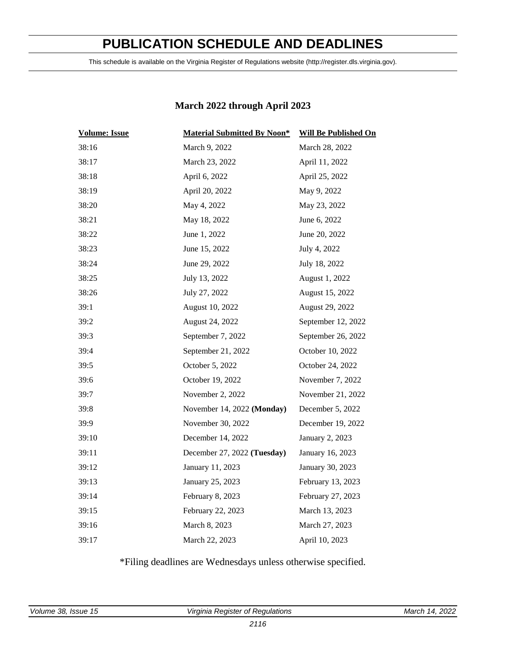# **PUBLICATION SCHEDULE AND DEADLINES**

<span id="page-3-0"></span>This schedule is available on the Virginia Register of Regulations website (http://register.dls.virginia.gov).

# **March 2022 through April 2023**

| <b>Volume: Issue</b> | <b>Material Submitted By Noon*</b> | <b>Will Be Published On</b> |  |
|----------------------|------------------------------------|-----------------------------|--|
| 38:16                | March 9, 2022                      | March 28, 2022              |  |
| 38:17                | March 23, 2022                     | April 11, 2022              |  |
| 38:18                | April 6, 2022                      | April 25, 2022              |  |
| 38:19                | April 20, 2022                     | May 9, 2022                 |  |
| 38:20                | May 4, 2022                        | May 23, 2022                |  |
| 38:21                | May 18, 2022                       | June 6, 2022                |  |
| 38:22                | June 1, 2022                       | June 20, 2022               |  |
| 38:23                | June 15, 2022                      | July 4, 2022                |  |
| 38:24                | June 29, 2022                      | July 18, 2022               |  |
| 38:25                | July 13, 2022                      | August 1, 2022              |  |
| 38:26                | July 27, 2022                      | August 15, 2022             |  |
| 39:1                 | August 10, 2022                    | August 29, 2022             |  |
| 39:2                 | August 24, 2022                    | September 12, 2022          |  |
| 39:3                 | September 7, 2022                  | September 26, 2022          |  |
| 39:4                 | September 21, 2022                 | October 10, 2022            |  |
| 39:5                 | October 5, 2022                    | October 24, 2022            |  |
| 39:6                 | October 19, 2022                   | November 7, 2022            |  |
| 39:7                 | November 2, 2022                   | November 21, 2022           |  |
| 39:8                 | November 14, 2022 (Monday)         | December 5, 2022            |  |
| 39:9                 | November 30, 2022                  | December 19, 2022           |  |
| 39:10                | December 14, 2022                  | January 2, 2023             |  |
| 39:11                | December 27, 2022 (Tuesday)        | January 16, 2023            |  |
| 39:12                | January 11, 2023                   | January 30, 2023            |  |
| 39:13                | January 25, 2023                   | February 13, 2023           |  |
| 39:14                | February 8, 2023                   | February 27, 2023           |  |
| 39:15                | February 22, 2023                  | March 13, 2023              |  |
| 39:16                | March 8, 2023                      | March 27, 2023              |  |
| 39:17                | March 22, 2023                     | April 10, 2023              |  |

\*Filing deadlines are Wednesdays unless otherwise specified.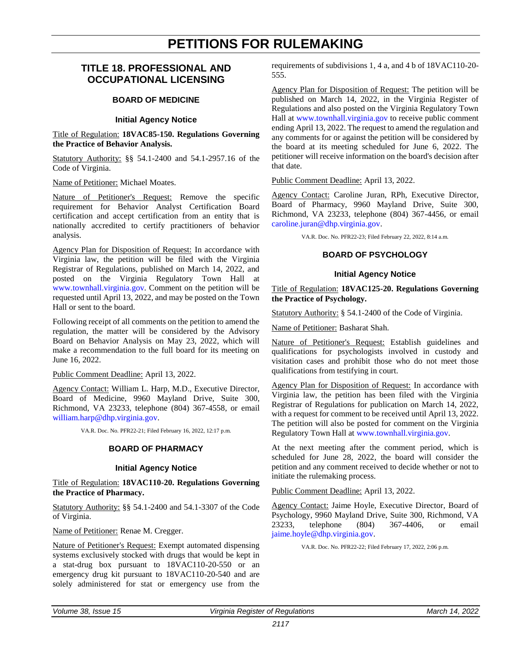# **PETITIONS FOR RULEMAKING**

# <span id="page-4-0"></span>**TITLE 18. PROFESSIONAL AND OCCUPATIONAL LICENSING**

### **BOARD OF MEDICINE**

# **Initial Agency Notice**

Title of Regulation: **18VAC85-150. Regulations Governing the Practice of Behavior Analysis.**

Statutory Authority: §§ 54.1-2400 and 54.1-2957.16 of the Code of Virginia.

Name of Petitioner: Michael Moates.

Nature of Petitioner's Request: Remove the specific requirement for Behavior Analyst Certification Board certification and accept certification from an entity that is nationally accredited to certify practitioners of behavior analysis.

Agency Plan for Disposition of Request: In accordance with Virginia law, the petition will be filed with the Virginia Registrar of Regulations, published on March 14, 2022, and posted on the Virginia Regulatory Town Hall at [www.townhall.virginia.gov.](http://www.townhall.virginia.gov/) Comment on the petition will be requested until April 13, 2022, and may be posted on the Town Hall or sent to the board.

Following receipt of all comments on the petition to amend the regulation, the matter will be considered by the Advisory Board on Behavior Analysis on May 23, 2022, which will make a recommendation to the full board for its meeting on June 16, 2022.

Public Comment Deadline: April 13, 2022.

Agency Contact: William L. Harp, M.D., Executive Director, Board of Medicine, 9960 Mayland Drive, Suite 300, Richmond, VA 23233, telephone (804) 367-4558, or email [william.harp@dhp.virginia.gov.](mailto:william.harp@dhp.virginia.gov)

VA.R. Doc. No. PFR22-21; Filed February 16, 2022, 12:17 p.m.

#### **BOARD OF PHARMACY**

#### **Initial Agency Notice**

Title of Regulation: **18VAC110-20. Regulations Governing the Practice of Pharmacy.**

Statutory Authority: §§ 54.1-2400 and 54.1-3307 of the Code of Virginia.

Name of Petitioner: Renae M. Cregger.

Nature of Petitioner's Request: Exempt automated dispensing systems exclusively stocked with drugs that would be kept in a stat-drug box pursuant to 18VAC110-20-550 or an emergency drug kit pursuant to 18VAC110-20-540 and are solely administered for stat or emergency use from the requirements of subdivisions 1, 4 a, and 4 b of 18VAC110-20- 555.

Agency Plan for Disposition of Request: The petition will be published on March 14, 2022, in the Virginia Register of Regulations and also posted on the Virginia Regulatory Town Hall at [www.townhall.virginia.gov](http://www.townhall.virginia.gov/) to receive public comment ending April 13, 2022. The request to amend the regulation and any comments for or against the petition will be considered by the board at its meeting scheduled for June 6, 2022. The petitioner will receive information on the board's decision after that date.

Public Comment Deadline: April 13, 2022.

Agency Contact: Caroline Juran, RPh, Executive Director, Board of Pharmacy, 9960 Mayland Drive, Suite 300, Richmond, VA 23233, telephone (804) 367-4456, or email [caroline.juran@dhp.virginia.gov.](mailto:caroline.juran@dhp.virginia.gov)

VA.R. Doc. No. PFR22-23; Filed February 22, 2022, 8:14 a.m.

### **BOARD OF PSYCHOLOGY**

#### **Initial Agency Notice**

Title of Regulation: **18VAC125-20. Regulations Governing the Practice of Psychology.**

Statutory Authority: § 54.1-2400 of the Code of Virginia.

Name of Petitioner: Basharat Shah.

Nature of Petitioner's Request: Establish guidelines and qualifications for psychologists involved in custody and visitation cases and prohibit those who do not meet those qualifications from testifying in court.

Agency Plan for Disposition of Request: In accordance with Virginia law, the petition has been filed with the Virginia Registrar of Regulations for publication on March 14, 2022, with a request for comment to be received until April 13, 2022. The petition will also be posted for comment on the Virginia Regulatory Town Hall at [www.townhall.virginia.gov.](http://www.townhall.virginia.gov/)

At the next meeting after the comment period, which is scheduled for June 28, 2022, the board will consider the petition and any comment received to decide whether or not to initiate the rulemaking process.

Public Comment Deadline: April 13, 2022.

Agency Contact: Jaime Hoyle, Executive Director, Board of Psychology, 9960 Mayland Drive, Suite 300, Richmond, VA 23233, telephone (804) 367-4406, or email [jaime.hoyle@dhp.virginia.gov.](mailto:jaime.hoyle@dhp.virginia.gov)

VA.R. Doc. No. PFR22-22; Filed February 17, 2022, 2:06 p.m.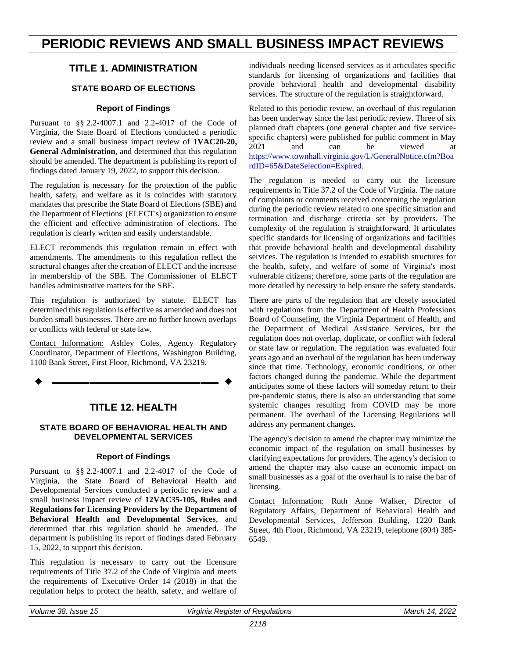# <span id="page-5-0"></span>**PERIODIC REVIEWS AND SMALL BUSINESS IMPACT REVIEWS**

# **TITLE 1. ADMINISTRATION**

# **STATE BOARD OF ELECTIONS**

# **Report of Findings**

Pursuant to §§ 2.2-4007.1 and 2.2-4017 of the Code of Virginia, the State Board of Elections conducted a periodic review and a small business impact review of **1VAC20-20, General Administration**, and determined that this regulation should be amended. The department is publishing its report of findings dated January 19, 2022, to support this decision.

The regulation is necessary for the protection of the public health, safety, and welfare as it is coincides with statutory mandates that prescribe the State Board of Elections (SBE) and the Department of Elections' (ELECT's) organization to ensure the efficient and effective administration of elections. The regulation is clearly written and easily understandable.

ELECT recommends this regulation remain in effect with amendments. The amendments to this regulation reflect the structural changes after the creation of ELECT and the increase in membership of the SBE. The Commissioner of ELECT handles administrative matters for the SBE.

This regulation is authorized by statute. ELECT has determined this regulation is effective as amended and does not burden small businesses. There are no further known overlaps or conflicts with federal or state law.

Contact Information: Ashley Coles, Agency Regulatory Coordinator, Department of Elections, Washington Building, 1100 Bank Street, First Floor, Richmond, VA 23219.

**––––––––––––––––––**

# **TITLE 12. HEALTH**

# **STATE BOARD OF BEHAVIORAL HEALTH AND DEVELOPMENTAL SERVICES**

### **Report of Findings**

Pursuant to §§ 2.2-4007.1 and 2.2-4017 of the Code of Virginia, the State Board of Behavioral Health and Developmental Services conducted a periodic review and a small business impact review of **12VAC35-105, Rules and Regulations for Licensing Providers by the Department of Behavioral Health and Developmental Services**, and determined that this regulation should be amended. The department is publishing its report of findings dated February 15, 2022, to support this decision.

This regulation is necessary to carry out the licensure requirements of Title 37.2 of the Code of Virginia and meets the requirements of Executive Order 14 (2018) in that the regulation helps to protect the health, safety, and welfare of individuals needing licensed services as it articulates specific standards for licensing of organizations and facilities that provide behavioral health and developmental disability services. The structure of the regulation is straightforward.

Related to this periodic review, an overhaul of this regulation has been underway since the last periodic review. Three of six planned draft chapters (one general chapter and five servicespecific chapters) were published for public comment in May 2021 and can be viewed at [https://www.townhall.virginia.gov/L/GeneralNotice.cfm?Boa](https://www.townhall.virginia.gov/L/GeneralNotice.cfm?BoardID=65&DateSelection=Expired) [rdID=65&DateSelection=Expired.](https://www.townhall.virginia.gov/L/GeneralNotice.cfm?BoardID=65&DateSelection=Expired)

The regulation is needed to carry out the licensure requirements in Title 37.2 of the Code of Virginia. The nature of complaints or comments received concerning the regulation during the periodic review related to one specific situation and termination and discharge criteria set by providers. The complexity of the regulation is straightforward. It articulates specific standards for licensing of organizations and facilities that provide behavioral health and developmental disability services. The regulation is intended to establish structures for the health, safety, and welfare of some of Virginia's most vulnerable citizens; therefore, some parts of the regulation are more detailed by necessity to help ensure the safety standards.

There are parts of the regulation that are closely associated with regulations from the Department of Health Professions Board of Counseling, the Virginia Department of Health, and the Department of Medical Assistance Services, but the regulation does not overlap, duplicate, or conflict with federal or state law or regulation. The regulation was evaluated four years ago and an overhaul of the regulation has been underway since that time. Technology, economic conditions, or other factors changed during the pandemic. While the department anticipates some of these factors will someday return to their pre-pandemic status, there is also an understanding that some systemic changes resulting from COVID may be more permanent. The overhaul of the Licensing Regulations will address any permanent changes.

The agency's decision to amend the chapter may minimize the economic impact of the regulation on small businesses by clarifying expectations for providers. The agency's decision to amend the chapter may also cause an economic impact on small businesses as a goal of the overhaul is to raise the bar of licensing.

Contact Information: Ruth Anne Walker, Director of Regulatory Affairs, Department of Behavioral Health and Developmental Services, Jefferson Building, 1220 Bank Street, 4th Floor, Richmond, VA 23219, telephone (804) 385- 6549.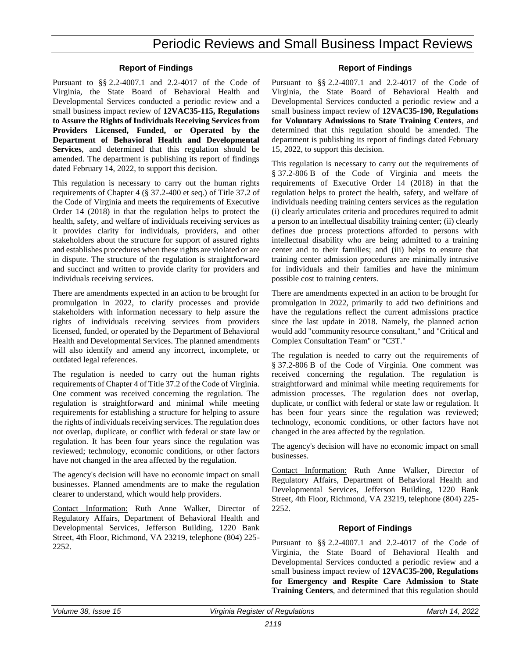# **Report of Findings**

Pursuant to §§ 2.2-4007.1 and 2.2-4017 of the Code of Virginia, the State Board of Behavioral Health and Developmental Services conducted a periodic review and a small business impact review of **12VAC35-115, Regulations to Assure the Rights of Individuals Receiving Services from Providers Licensed, Funded, or Operated by the Department of Behavioral Health and Developmental Services**, and determined that this regulation should be amended. The department is publishing its report of findings dated February 14, 2022, to support this decision.

This regulation is necessary to carry out the human rights requirements of Chapter 4 (§ 37.2-400 et seq.) of Title 37.2 of the Code of Virginia and meets the requirements of Executive Order 14 (2018) in that the regulation helps to protect the health, safety, and welfare of individuals receiving services as it provides clarity for individuals, providers, and other stakeholders about the structure for support of assured rights and establishes procedures when these rights are violated or are in dispute. The structure of the regulation is straightforward and succinct and written to provide clarity for providers and individuals receiving services.

There are amendments expected in an action to be brought for promulgation in 2022, to clarify processes and provide stakeholders with information necessary to help assure the rights of individuals receiving services from providers licensed, funded, or operated by the Department of Behavioral Health and Developmental Services. The planned amendments will also identify and amend any incorrect, incomplete, or outdated legal references.

The regulation is needed to carry out the human rights requirements of Chapter 4 of Title 37.2 of the Code of Virginia. One comment was received concerning the regulation. The regulation is straightforward and minimal while meeting requirements for establishing a structure for helping to assure the rights of individuals receiving services. The regulation does not overlap, duplicate, or conflict with federal or state law or regulation. It has been four years since the regulation was reviewed; technology, economic conditions, or other factors have not changed in the area affected by the regulation.

The agency's decision will have no economic impact on small businesses. Planned amendments are to make the regulation clearer to understand, which would help providers.

Contact Information: Ruth Anne Walker, Director of Regulatory Affairs, Department of Behavioral Health and Developmental Services, Jefferson Building, 1220 Bank Street, 4th Floor, Richmond, VA 23219, telephone (804) 225- 2252.

### **Report of Findings**

Pursuant to §§ 2.2-4007.1 and 2.2-4017 of the Code of Virginia, the State Board of Behavioral Health and Developmental Services conducted a periodic review and a small business impact review of **12VAC35-190, Regulations for Voluntary Admissions to State Training Centers**, and determined that this regulation should be amended. The department is publishing its report of findings dated February 15, 2022, to support this decision.

This regulation is necessary to carry out the requirements of § 37.2-806 B of the Code of Virginia and meets the requirements of Executive Order 14 (2018) in that the regulation helps to protect the health, safety, and welfare of individuals needing training centers services as the regulation (i) clearly articulates criteria and procedures required to admit a person to an intellectual disability training center; (ii) clearly defines due process protections afforded to persons with intellectual disability who are being admitted to a training center and to their families; and (iii) helps to ensure that training center admission procedures are minimally intrusive for individuals and their families and have the minimum possible cost to training centers.

There are amendments expected in an action to be brought for promulgation in 2022, primarily to add two definitions and have the regulations reflect the current admissions practice since the last update in 2018. Namely, the planned action would add "community resource consultant," and "Critical and Complex Consultation Team" or "C3T."

The regulation is needed to carry out the requirements of § 37.2-806 B of the Code of Virginia. One comment was received concerning the regulation. The regulation is straightforward and minimal while meeting requirements for admission processes. The regulation does not overlap, duplicate, or conflict with federal or state law or regulation. It has been four years since the regulation was reviewed; technology, economic conditions, or other factors have not changed in the area affected by the regulation.

The agency's decision will have no economic impact on small businesses.

Contact Information: Ruth Anne Walker, Director of Regulatory Affairs, Department of Behavioral Health and Developmental Services, Jefferson Building, 1220 Bank Street, 4th Floor, Richmond, VA 23219, telephone (804) 225- 2252.

### **Report of Findings**

Pursuant to §§ 2.2-4007.1 and 2.2-4017 of the Code of Virginia, the State Board of Behavioral Health and Developmental Services conducted a periodic review and a small business impact review of **12VAC35-200, Regulations for Emergency and Respite Care Admission to State Training Centers**, and determined that this regulation should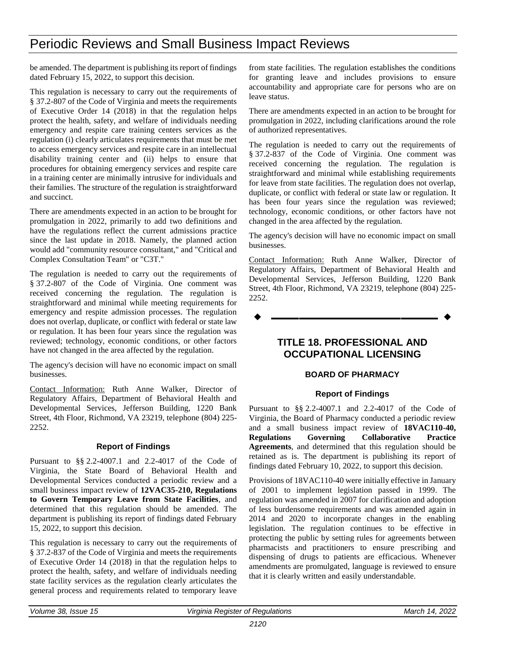be amended. The department is publishing its report of findings dated February 15, 2022, to support this decision.

This regulation is necessary to carry out the requirements of § 37.2-807 of the Code of Virginia and meets the requirements of Executive Order 14 (2018) in that the regulation helps protect the health, safety, and welfare of individuals needing emergency and respite care training centers services as the regulation (i) clearly articulates requirements that must be met to access emergency services and respite care in an intellectual disability training center and (ii) helps to ensure that procedures for obtaining emergency services and respite care in a training center are minimally intrusive for individuals and their families. The structure of the regulation is straightforward and succinct.

There are amendments expected in an action to be brought for promulgation in 2022, primarily to add two definitions and have the regulations reflect the current admissions practice since the last update in 2018. Namely, the planned action would add "community resource consultant," and "Critical and Complex Consultation Team" or "C3T."

The regulation is needed to carry out the requirements of § 37.2-807 of the Code of Virginia. One comment was received concerning the regulation. The regulation is straightforward and minimal while meeting requirements for emergency and respite admission processes. The regulation does not overlap, duplicate, or conflict with federal or state law or regulation. It has been four years since the regulation was reviewed; technology, economic conditions, or other factors have not changed in the area affected by the regulation.

The agency's decision will have no economic impact on small businesses.

Contact Information: Ruth Anne Walker, Director of Regulatory Affairs, Department of Behavioral Health and Developmental Services, Jefferson Building, 1220 Bank Street, 4th Floor, Richmond, VA 23219, telephone (804) 225- 2252.

### **Report of Findings**

Pursuant to §§ 2.2-4007.1 and 2.2-4017 of the Code of Virginia, the State Board of Behavioral Health and Developmental Services conducted a periodic review and a small business impact review of **12VAC35-210, Regulations to Govern Temporary Leave from State Facilities**, and determined that this regulation should be amended. The department is publishing its report of findings dated February 15, 2022, to support this decision.

This regulation is necessary to carry out the requirements of § 37.2-837 of the Code of Virginia and meets the requirements of Executive Order 14 (2018) in that the regulation helps to protect the health, safety, and welfare of individuals needing state facility services as the regulation clearly articulates the general process and requirements related to temporary leave

from state facilities. The regulation establishes the conditions for granting leave and includes provisions to ensure accountability and appropriate care for persons who are on leave status.

There are amendments expected in an action to be brought for promulgation in 2022, including clarifications around the role of authorized representatives.

The regulation is needed to carry out the requirements of § 37.2-837 of the Code of Virginia. One comment was received concerning the regulation. The regulation is straightforward and minimal while establishing requirements for leave from state facilities. The regulation does not overlap, duplicate, or conflict with federal or state law or regulation. It has been four years since the regulation was reviewed; technology, economic conditions, or other factors have not changed in the area affected by the regulation.

The agency's decision will have no economic impact on small businesses.

Contact Information: Ruth Anne Walker, Director of Regulatory Affairs, Department of Behavioral Health and Developmental Services, Jefferson Building, 1220 Bank Street, 4th Floor, Richmond, VA 23219, telephone (804) 225- 2252.

**––––––––––––––––––**

# **TITLE 18. PROFESSIONAL AND OCCUPATIONAL LICENSING**

### **BOARD OF PHARMACY**

### **Report of Findings**

Pursuant to §§ 2.2-4007.1 and 2.2-4017 of the Code of Virginia, the Board of Pharmacy conducted a periodic review and a small business impact review of **18VAC110-40, Regulations Governing Collaborative Practice Agreements**, and determined that this regulation should be retained as is. The department is publishing its report of findings dated February 10, 2022, to support this decision.

Provisions of 18VAC110-40 were initially effective in January of 2001 to implement legislation passed in 1999. The regulation was amended in 2007 for clarification and adoption of less burdensome requirements and was amended again in 2014 and 2020 to incorporate changes in the enabling legislation. The regulation continues to be effective in protecting the public by setting rules for agreements between pharmacists and practitioners to ensure prescribing and dispensing of drugs to patients are efficacious. Whenever amendments are promulgated, language is reviewed to ensure that it is clearly written and easily understandable.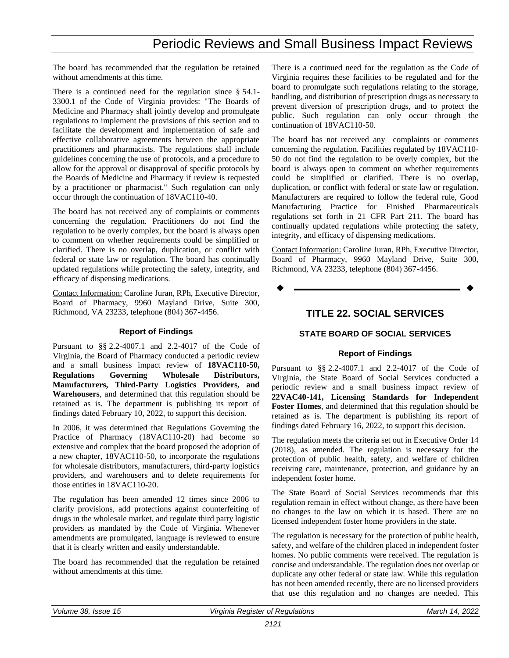The board has recommended that the regulation be retained without amendments at this time.

There is a continued need for the regulation since § 54.1- 3300.1 of the Code of Virginia provides: "The Boards of Medicine and Pharmacy shall jointly develop and promulgate regulations to implement the provisions of this section and to facilitate the development and implementation of safe and effective collaborative agreements between the appropriate practitioners and pharmacists. The regulations shall include guidelines concerning the use of protocols, and a procedure to allow for the approval or disapproval of specific protocols by the Boards of Medicine and Pharmacy if review is requested by a practitioner or pharmacist." Such regulation can only occur through the continuation of 18VAC110-40.

The board has not received any of complaints or comments concerning the regulation. Practitioners do not find the regulation to be overly complex, but the board is always open to comment on whether requirements could be simplified or clarified. There is no overlap, duplication, or conflict with federal or state law or regulation. The board has continually updated regulations while protecting the safety, integrity, and efficacy of dispensing medications.

Contact Information: Caroline Juran, RPh, Executive Director, Board of Pharmacy, 9960 Mayland Drive, Suite 300, Richmond, VA 23233, telephone (804) 367-4456.

### **Report of Findings**

Pursuant to §§ 2.2-4007.1 and 2.2-4017 of the Code of Virginia, the Board of Pharmacy conducted a periodic review and a small business impact review of **18VAC110-50, Regulations Governing Wholesale Distributors, Manufacturers, Third-Party Logistics Providers, and Warehousers**, and determined that this regulation should be retained as is. The department is publishing its report of findings dated February 10, 2022, to support this decision.

In 2006, it was determined that Regulations Governing the Practice of Pharmacy (18VAC110-20) had become so extensive and complex that the board proposed the adoption of a new chapter, 18VAC110-50, to incorporate the regulations for wholesale distributors, manufacturers, third-party logistics providers, and warehousers and to delete requirements for those entities in 18VAC110-20.

The regulation has been amended 12 times since 2006 to clarify provisions, add protections against counterfeiting of drugs in the wholesale market, and regulate third party logistic providers as mandated by the Code of Virginia. Whenever amendments are promulgated, language is reviewed to ensure that it is clearly written and easily understandable.

The board has recommended that the regulation be retained without amendments at this time.

There is a continued need for the regulation as the Code of Virginia requires these facilities to be regulated and for the board to promulgate such regulations relating to the storage, handling, and distribution of prescription drugs as necessary to prevent diversion of prescription drugs, and to protect the public. Such regulation can only occur through the continuation of 18VAC110-50.

The board has not received any complaints or comments concerning the regulation. Facilities regulated by 18VAC110- 50 do not find the regulation to be overly complex, but the board is always open to comment on whether requirements could be simplified or clarified. There is no overlap, duplication, or conflict with federal or state law or regulation. Manufacturers are required to follow the federal rule, Good Manufacturing Practice for Finished Pharmaceuticals regulations set forth in 21 CFR Part 211. The board has continually updated regulations while protecting the safety, integrity, and efficacy of dispensing medications.

Contact Information: Caroline Juran, RPh, Executive Director, Board of Pharmacy, 9960 Mayland Drive, Suite 300, Richmond, VA 23233, telephone (804) 367-4456.



# **TITLE 22. SOCIAL SERVICES**

# **STATE BOARD OF SOCIAL SERVICES**

### **Report of Findings**

Pursuant to §§ 2.2-4007.1 and 2.2-4017 of the Code of Virginia, the State Board of Social Services conducted a periodic review and a small business impact review of **22VAC40-141, Licensing Standards for Independent Foster Homes**, and determined that this regulation should be retained as is. The department is publishing its report of findings dated February 16, 2022, to support this decision.

The regulation meets the criteria set out in Executive Order 14 (2018), as amended. The regulation is necessary for the protection of public health, safety, and welfare of children receiving care, maintenance, protection, and guidance by an independent foster home.

The State Board of Social Services recommends that this regulation remain in effect without change, as there have been no changes to the law on which it is based. There are no licensed independent foster home providers in the state.

The regulation is necessary for the protection of public health, safety, and welfare of the children placed in independent foster homes. No public comments were received. The regulation is concise and understandable. The regulation does not overlap or duplicate any other federal or state law. While this regulation has not been amended recently, there are no licensed providers that use this regulation and no changes are needed. This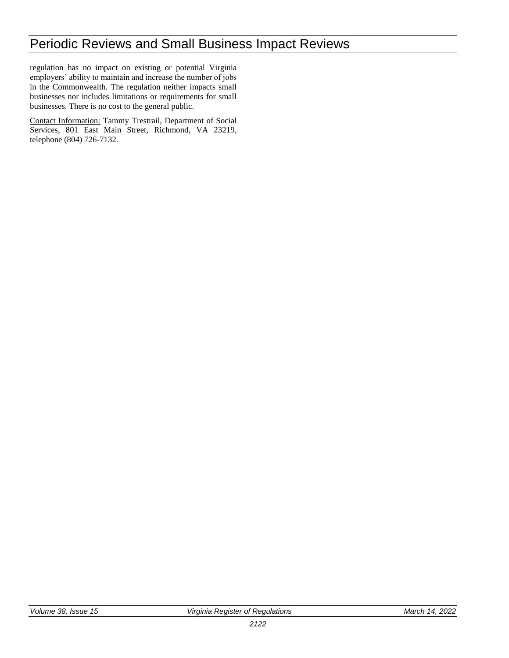regulation has no impact on existing or potential Virginia employers' ability to maintain and increase the number of jobs in the Commonwealth. The regulation neither impacts small businesses nor includes limitations or requirements for small businesses. There is no cost to the general public.

Contact Information: Tammy Trestrail, Department of Social Services, 801 East Main Street, Richmond, VA 23219, telephone (804) 726-7132.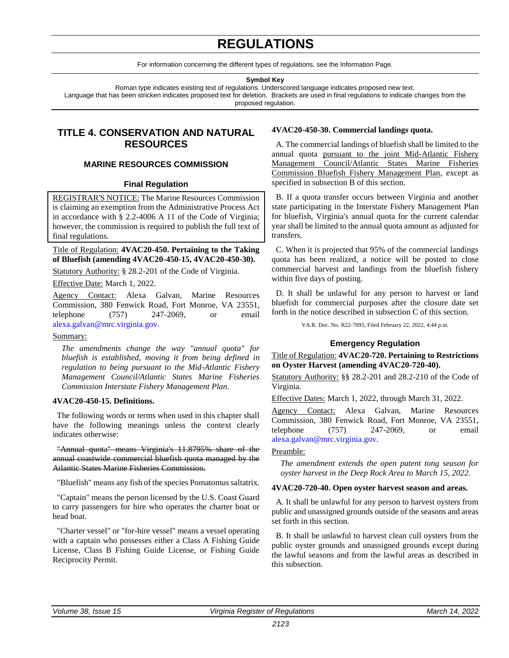# **REGULATIONS**

For information concerning the different types of regulations, see the Information Page.

**Symbol Key**

<span id="page-10-0"></span>Roman type indicates existing text of regulations. Underscored language indicates proposed new text. Language that has been stricken indicates proposed text for deletion. Brackets are used in final regulations to indicate changes from the proposed regulation.

# **TITLE 4. CONSERVATION AND NATURAL RESOURCES**

# **MARINE RESOURCES COMMISSION**

# **Final Regulation**

REGISTRAR'S NOTICE: The Marine Resources Commission is claiming an exemption from the Administrative Process Act in accordance with § 2.2-4006 A 11 of the Code of Virginia; however, the commission is required to publish the full text of final regulations.

### Title of Regulation: **4VAC20-450. Pertaining to the Taking of Bluefish (amending 4VAC20-450-15, 4VAC20-450-30).**

Statutory Authority: § 28.2-201 of the Code of Virginia. Effective Date: March 1, 2022.

Agency Contact: Alexa Galvan, Marine Resources Commission, 380 Fenwick Road, Fort Monroe, VA 23551, telephone (757) 247-2069, or email

#### [alexa.galvan@mrc.virginia.gov.](mailto:alexa.galvan@mrc.virginia.gov)

### Summary:

*The amendments change the way "annual quota" for bluefish is established, moving it from being defined in regulation to being pursuant to the Mid-Atlantic Fishery Management Council/Atlantic States Marine Fisheries Commission Interstate Fishery Management Plan.*

### **4VAC20-450-15. Definitions.**

The following words or terms when used in this chapter shall have the following meanings unless the context clearly indicates otherwise:

"Annual quota" means Virginia's 11.8795% share of the annual coastwide commercial bluefish quota managed by the Atlantic States Marine Fisheries Commission.

"Bluefish" means any fish of the species Pomatomus saltatrix*.*

"Captain" means the person licensed by the U.S. Coast Guard to carry passengers for hire who operates the charter boat or head boat.

"Charter vessel" or "for-hire vessel" means a vessel operating with a captain who possesses either a Class A Fishing Guide License, Class B Fishing Guide License, or Fishing Guide Reciprocity Permit.

# **4VAC20-450-30. Commercial landings quota.**

A. The commercial landings of bluefish shall be limited to the annual quota pursuant to the joint Mid-Atlantic Fishery Management Council/Atlantic States Marine Fisheries Commission Bluefish Fishery Management Plan, except as specified in subsection B of this section.

B. If a quota transfer occurs between Virginia and another state participating in the Interstate Fishery Management Plan for bluefish, Virginia's annual quota for the current calendar year shall be limited to the annual quota amount as adjusted for transfers.

C. When it is projected that 95% of the commercial landings quota has been realized, a notice will be posted to close commercial harvest and landings from the bluefish fishery within five days of posting.

D. It shall be unlawful for any person to harvest or land bluefish for commercial purposes after the closure date set forth in the notice described in subsection C of this section.

VA.R. Doc. No. R22-7095; Filed February 22, 2022, 4:44 p.m.

# **Emergency Regulation**

Title of Regulation: **4VAC20-720. Pertaining to Restrictions on Oyster Harvest (amending 4VAC20-720-40).**

Statutory Authority: §§ 28.2-201 and 28.2-210 of the Code of Virginia.

Effective Dates: March 1, 2022, through March 31, 2022.

Agency Contact: Alexa Galvan, Marine Resources Commission, 380 Fenwick Road, Fort Monroe, VA 23551, telephone (757) 247-2069, or email [alexa.galvan@mrc.virginia.gov.](mailto:alexa.galvan@mrc.virginia.gov)

# Preamble:

*The amendment extends the open patent tong season for oyster harvest in the Deep Rock Area to March 15, 2022.*

### **4VAC20-720-40. Open oyster harvest season and areas.**

A. It shall be unlawful for any person to harvest oysters from public and unassigned grounds outside of the seasons and areas set forth in this section.

B. It shall be unlawful to harvest clean cull oysters from the public oyster grounds and unassigned grounds except during the lawful seasons and from the lawful areas as described in this subsection.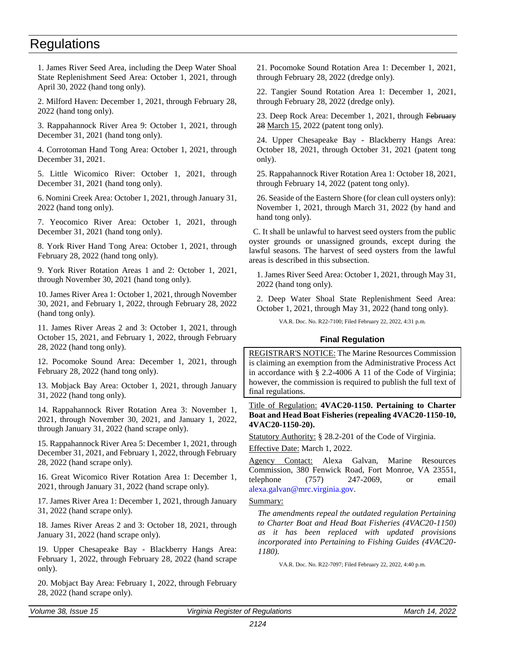<span id="page-11-0"></span>1. James River Seed Area, including the Deep Water Shoal State Replenishment Seed Area: October 1, 2021, through April 30, 2022 (hand tong only).

2. Milford Haven: December 1, 2021, through February 28, 2022 (hand tong only).

3. Rappahannock River Area 9: October 1, 2021, through December 31, 2021 (hand tong only).

4. Corrotoman Hand Tong Area: October 1, 2021, through December 31, 2021.

5. Little Wicomico River: October 1, 2021, through December 31, 2021 (hand tong only).

6. Nomini Creek Area: October 1, 2021, through January 31, 2022 (hand tong only).

7. Yeocomico River Area: October 1, 2021, through December 31, 2021 (hand tong only).

8. York River Hand Tong Area: October 1, 2021, through February 28, 2022 (hand tong only).

9. York River Rotation Areas 1 and 2: October 1, 2021, through November 30, 2021 (hand tong only).

10. James River Area 1: October 1, 2021, through November 30, 2021, and February 1, 2022, through February 28, 2022 (hand tong only).

11. James River Areas 2 and 3: October 1, 2021, through October 15, 2021, and February 1, 2022, through February 28, 2022 (hand tong only).

12. Pocomoke Sound Area: December 1, 2021, through February 28, 2022 (hand tong only).

13. Mobjack Bay Area: October 1, 2021, through January 31, 2022 (hand tong only).

14. Rappahannock River Rotation Area 3: November 1, 2021, through November 30, 2021, and January 1, 2022, through January 31, 2022 (hand scrape only).

15. Rappahannock River Area 5: December 1, 2021, through December 31, 2021, and February 1, 2022, through February 28, 2022 (hand scrape only).

16. Great Wicomico River Rotation Area 1: December 1, 2021, through January 31, 2022 (hand scrape only).

17. James River Area 1: December 1, 2021, through January 31, 2022 (hand scrape only).

18. James River Areas 2 and 3: October 18, 2021, through January 31, 2022 (hand scrape only).

19. Upper Chesapeake Bay - Blackberry Hangs Area: February 1, 2022, through February 28, 2022 (hand scrape only).

20. Mobjact Bay Area: February 1, 2022, through February 28, 2022 (hand scrape only).

21. Pocomoke Sound Rotation Area 1: December 1, 2021, through February 28, 2022 (dredge only).

22. Tangier Sound Rotation Area 1: December 1, 2021, through February 28, 2022 (dredge only).

23. Deep Rock Area: December 1, 2021, through February 28 March 15, 2022 (patent tong only).

24. Upper Chesapeake Bay - Blackberry Hangs Area: October 18, 2021, through October 31, 2021 (patent tong only).

25. Rappahannock River Rotation Area 1: October 18, 2021, through February 14, 2022 (patent tong only).

26. Seaside of the Eastern Shore (for clean cull oysters only): November 1, 2021, through March 31, 2022 (by hand and hand tong only).

C. It shall be unlawful to harvest seed oysters from the public oyster grounds or unassigned grounds, except during the lawful seasons. The harvest of seed oysters from the lawful areas is described in this subsection.

1. James River Seed Area: October 1, 2021, through May 31, 2022 (hand tong only).

2. Deep Water Shoal State Replenishment Seed Area: October 1, 2021, through May 31, 2022 (hand tong only).

VA.R. Doc. No. R22-7100; Filed February 22, 2022, 4:31 p.m.

### **Final Regulation**

REGISTRAR'S NOTICE: The Marine Resources Commission is claiming an exemption from the Administrative Process Act in accordance with § 2.2-4006 A 11 of the Code of Virginia; however, the commission is required to publish the full text of final regulations.

Title of Regulation: **4VAC20-1150. Pertaining to Charter Boat and Head Boat Fisheries (repealing 4VAC20-1150-10, 4VAC20-1150-20).**

Statutory Authority: § 28.2-201 of the Code of Virginia. Effective Date: March 1, 2022.

Agency Contact: Alexa Galvan, Marine Resources Commission, 380 Fenwick Road, Fort Monroe, VA 23551, telephone  $(757)$  247-2069, or email [alexa.galvan@mrc.virginia.gov.](mailto:alexa.galvan@mrc.virginia.gov)

#### Summary:

*The amendments repeal the outdated regulation Pertaining to Charter Boat and Head Boat Fisheries (4VAC20-1150) as it has been replaced with updated provisions incorporated into Pertaining to Fishing Guides (4VAC20- 1180).*

VA.R. Doc. No. R22-7097; Filed February 22, 2022, 4:40 p.m.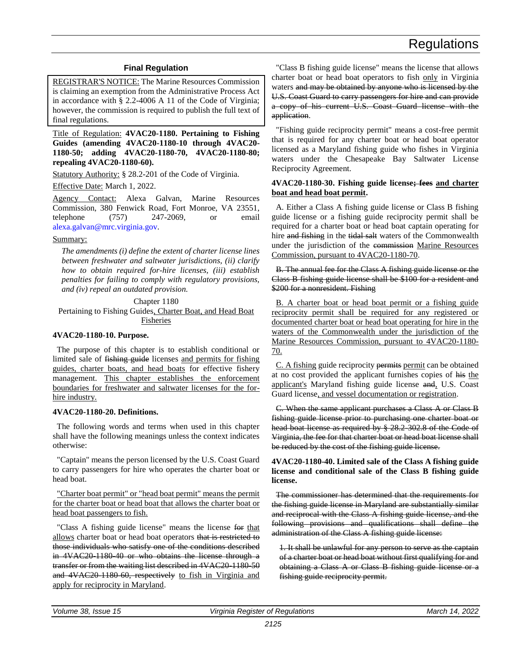# **Final Regulation**

<span id="page-12-0"></span>REGISTRAR'S NOTICE: The Marine Resources Commission is claiming an exemption from the Administrative Process Act in accordance with § 2.2-4006 A 11 of the Code of Virginia; however, the commission is required to publish the full text of final regulations.

Title of Regulation: **4VAC20-1180. Pertaining to Fishing Guides (amending 4VAC20-1180-10 through 4VAC20- 1180-50; adding 4VAC20-1180-70, 4VAC20-1180-80; repealing 4VAC20-1180-60).**

Statutory Authority: § 28.2-201 of the Code of Virginia.

Effective Date: March 1, 2022.

Agency Contact: Alexa Galvan, Marine Resources Commission, 380 Fenwick Road, Fort Monroe, VA 23551, telephone (757) 247-2069, or email [alexa.galvan@mrc.virginia.gov.](mailto:alexa.galvan@mrc.virginia.gov)

#### Summary:

*The amendments (i) define the extent of charter license lines between freshwater and saltwater jurisdictions, (ii) clarify how to obtain required for-hire licenses, (iii) establish penalties for failing to comply with regulatory provisions, and (iv) repeal an outdated provision.*

Chapter 1180

Pertaining to Fishing Guides, Charter Boat, and Head Boat Fisheries

#### **4VAC20-1180-10. Purpose.**

The purpose of this chapter is to establish conditional or limited sale of fishing guide licenses and permits for fishing guides, charter boats, and head boats for effective fishery management. This chapter establishes the enforcement boundaries for freshwater and saltwater licenses for the forhire industry.

#### **4VAC20-1180-20. Definitions.**

The following words and terms when used in this chapter shall have the following meanings unless the context indicates otherwise:

"Captain" means the person licensed by the U.S. Coast Guard to carry passengers for hire who operates the charter boat or head boat.

"Charter boat permit" or "head boat permit" means the permit for the charter boat or head boat that allows the charter boat or head boat passengers to fish.

"Class A fishing guide license" means the license for that allows charter boat or head boat operators that is restricted to those individuals who satisfy one of the conditions described in 4VAC20-1180-40 or who obtains the license through a transfer or from the waiting list described in 4VAC20-1180-50 and 4VAC20 1180 60, respectively to fish in Virginia and apply for reciprocity in Maryland.

"Class B fishing guide license" means the license that allows charter boat or head boat operators to fish only in Virginia waters and may be obtained by anyone who is licensed by the U.S. Coast Guard to carry passengers for hire and can provide a copy of his current U.S. Coast Guard license with the application.

"Fishing guide reciprocity permit" means a cost-free permit that is required for any charter boat or head boat operator licensed as a Maryland fishing guide who fishes in Virginia waters under the Chesapeake Bay Saltwater License Reciprocity Agreement.

### **4VAC20-1180-30. Fishing guide license; fees and charter boat and head boat permit.**

A. Either a Class A fishing guide license or Class B fishing guide license or a fishing guide reciprocity permit shall be required for a charter boat or head boat captain operating for hire and fishing in the tidal salt waters of the Commonwealth under the jurisdiction of the commission Marine Resources Commission, pursuant to 4VAC20-1180-70.

B. The annual fee for the Class A fishing guide license or the Class B fishing guide license shall be \$100 for a resident and \$200 for a nonresident. Fishing

B. A charter boat or head boat permit or a fishing guide reciprocity permit shall be required for any registered or documented charter boat or head boat operating for hire in the waters of the Commonwealth under the jurisdiction of the Marine Resources Commission, pursuant to 4VAC20-1180- 70.

C. A fishing guide reciprocity permits permit can be obtained at no cost provided the applicant furnishes copies of his the applicant's Maryland fishing guide license and, U.S. Coast Guard license, and vessel documentation or registration.

C. When the same applicant purchases a Class A or Class B fishing guide license prior to purchasing one charter boat or head boat license as required by § 28.2-302.8 of the Code of Virginia, the fee for that charter boat or head boat license shall be reduced by the cost of the fishing guide license.

**4VAC20-1180-40. Limited sale of the Class A fishing guide license and conditional sale of the Class B fishing guide license.**

The commissioner has determined that the requirements for the fishing guide license in Maryland are substantially similar and reciprocal with the Class A fishing guide license, and the following provisions and qualifications shall define the administration of the Class A fishing guide license:

1. It shall be unlawful for any person to serve as the captain of a charter boat or head boat without first qualifying for and obtaining a Class A or Class B fishing guide license or a fishing guide reciprocity permit.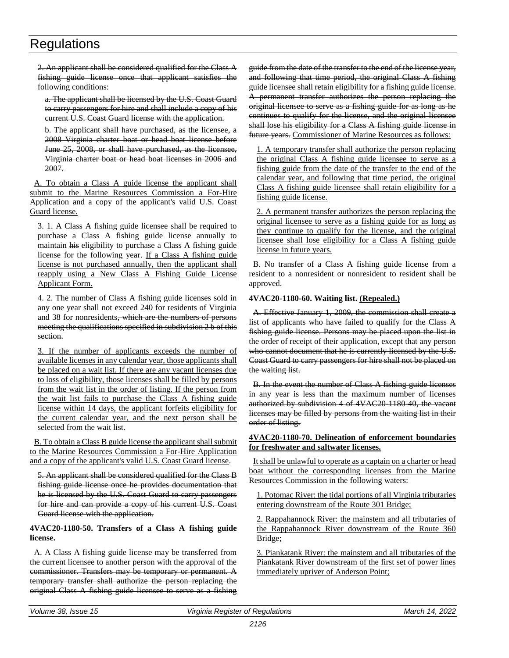2. An applicant shall be considered qualified for the Class A fishing guide license once that applicant satisfies the following conditions:

a. The applicant shall be licensed by the U.S. Coast Guard to carry passengers for hire and shall include a copy of his current U.S. Coast Guard license with the application.

b. The applicant shall have purchased, as the licensee, a 2008 Virginia charter boat or head boat license before June 25, 2008, or shall have purchased, as the licensee, Virginia charter boat or head boat licenses in 2006 and 2007.

A. To obtain a Class A guide license the applicant shall submit to the Marine Resources Commission a For-Hire Application and a copy of the applicant's valid U.S. Coast Guard license.

3. 1. A Class A fishing guide licensee shall be required to purchase a Class A fishing guide license annually to maintain his eligibility to purchase a Class A fishing guide license for the following year. If a Class A fishing guide license is not purchased annually, then the applicant shall reapply using a New Class A Fishing Guide License Applicant Form.

4. 2. The number of Class A fishing guide licenses sold in any one year shall not exceed 240 for residents of Virginia and 38 for nonresidents<del>, which are the numbers of persons</del> meeting the qualifications specified in subdivision 2 b of this section.

3. If the number of applicants exceeds the number of available licenses in any calendar year, those applicants shall be placed on a wait list. If there are any vacant licenses due to loss of eligibility, those licenses shall be filled by persons from the wait list in the order of listing. If the person from the wait list fails to purchase the Class A fishing guide license within 14 days, the applicant forfeits eligibility for the current calendar year, and the next person shall be selected from the wait list.

B. To obtain a Class B guide license the applicant shall submit to the Marine Resources Commission a For-Hire Application and a copy of the applicant's valid U.S. Coast Guard license.

5. An applicant shall be considered qualified for the Class B fishing guide license once he provides documentation that he is licensed by the U.S. Coast Guard to carry passengers for hire and can provide a copy of his current U.S. Coast Guard license with the application.

# **4VAC20-1180-50. Transfers of a Class A fishing guide license.**

A. A Class A fishing guide license may be transferred from the current licensee to another person with the approval of the commissioner. Transfers may be temporary or permanent. A temporary transfer shall authorize the person replacing the original Class A fishing guide licensee to serve as a fishing

guide from the date of the transfer to the end of the license year, and following that time period, the original Class A fishing guide licensee shall retain eligibility for a fishing guide license. A permanent transfer authorizes the person replacing the original licensee to serve as a fishing guide for as long as he continues to qualify for the license, and the original licensee shall lose his eligibility for a Class A fishing guide license in future years. Commissioner of Marine Resources as follows:

1. A temporary transfer shall authorize the person replacing the original Class A fishing guide licensee to serve as a fishing guide from the date of the transfer to the end of the calendar year, and following that time period, the original Class A fishing guide licensee shall retain eligibility for a fishing guide license.

2. A permanent transfer authorizes the person replacing the original licensee to serve as a fishing guide for as long as they continue to qualify for the license, and the original licensee shall lose eligibility for a Class A fishing guide license in future years.

B. No transfer of a Class A fishing guide license from a resident to a nonresident or nonresident to resident shall be approved.

### **4VAC20-1180-60. Waiting list. (Repealed.)**

A. Effective January 1, 2009, the commission shall create a list of applicants who have failed to qualify for the Class A fishing guide license. Persons may be placed upon the list in the order of receipt of their application, except that any person who cannot document that he is currently licensed by the U.S. Coast Guard to carry passengers for hire shall not be placed on the waiting list.

B. In the event the number of Class A fishing guide licenses in any year is less than the maximum number of licenses authorized by subdivision 4 of 4VAC20-1180-40, the vacant licenses may be filled by persons from the waiting list in their order of listing.

### **4VAC20-1180-70. Delineation of enforcement boundaries for freshwater and saltwater licenses.**

It shall be unlawful to operate as a captain on a charter or head boat without the corresponding licenses from the Marine Resources Commission in the following waters:

1. Potomac River: the tidal portions of all Virginia tributaries entering downstream of the Route 301 Bridge;

2. Rappahannock River: the mainstem and all tributaries of the Rappahannock River downstream of the Route 360 Bridge;

3. Piankatank River: the mainstem and all tributaries of the Piankatank River downstream of the first set of power lines immediately upriver of Anderson Point;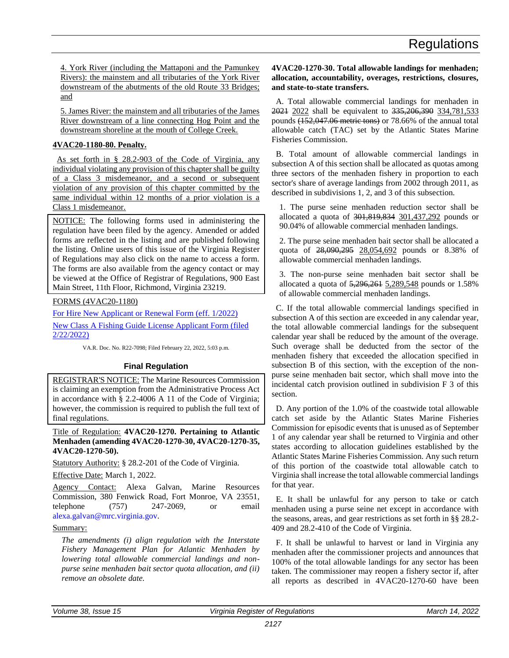<span id="page-14-0"></span>4. York River (including the Mattaponi and the Pamunkey Rivers): the mainstem and all tributaries of the York River downstream of the abutments of the old Route 33 Bridges; and

5. James River: the mainstem and all tributaries of the James River downstream of a line connecting Hog Point and the downstream shoreline at the mouth of College Creek.

### **4VAC20-1180-80. Penalty.**

As set forth in § 28.2-903 of the Code of Virginia, any individual violating any provision of this chapter shall be guilty of a Class 3 misdemeanor, and a second or subsequent violation of any provision of this chapter committed by the same individual within 12 months of a prior violation is a Class 1 misdemeanor.

NOTICE: The following forms used in administering the regulation have been filed by the agency. Amended or added forms are reflected in the listing and are published following the listing. Online users of this issue of the Virginia Register of Regulations may also click on the name to access a form. The forms are also available from the agency contact or may be viewed at the Office of Registrar of Regulations, 900 East Main Street, 11th Floor, Richmond, Virginia 23219.

FORMS (4VAC20-1180)

[For Hire New Applicant or Renewal Form \(eff. 1/2022\)](https://ris.dls.virginia.gov/uploads/4VAC20/forms/Charter_Boat_NewRenewal_2022_upd-20220222165930.pdf) [New Class A Fishing Guide License Applicant Form \(filed](https://ris.dls.virginia.gov/uploads/4VAC20/forms/classa_newapplicant-20220222165849.pdf)  [2/22/2022\)](https://ris.dls.virginia.gov/uploads/4VAC20/forms/classa_newapplicant-20220222165849.pdf)

VA.R. Doc. No. R22-7098; Filed February 22, 2022, 5:03 p.m.

# **Final Regulation**

REGISTRAR'S NOTICE: The Marine Resources Commission is claiming an exemption from the Administrative Process Act in accordance with § 2.2-4006 A 11 of the Code of Virginia; however, the commission is required to publish the full text of final regulations.

Title of Regulation: **4VAC20-1270. Pertaining to Atlantic Menhaden (amending 4VAC20-1270-30, 4VAC20-1270-35, 4VAC20-1270-50).**

Statutory Authority: § 28.2-201 of the Code of Virginia.

Effective Date: March 1, 2022.

Agency Contact: Alexa Galvan, Marine Resources Commission, 380 Fenwick Road, Fort Monroe, VA 23551, telephone (757) 247-2069, or email [alexa.galvan@mrc.virginia.gov.](mailto:alexa.galvan@mrc.virginia.gov)

# Summary:

*The amendments (i) align regulation with the Interstate Fishery Management Plan for Atlantic Menhaden by lowering total allowable commercial landings and nonpurse seine menhaden bait sector quota allocation, and (ii) remove an obsolete date.*

**4VAC20-1270-30. Total allowable landings for menhaden; allocation, accountability, overages, restrictions, closures, and state-to-state transfers.**

A. Total allowable commercial landings for menhaden in 2021 2022 shall be equivalent to 335, 206, 390 334, 781, 533 pounds (152,047.06 metric tons) or 78.66% of the annual total allowable catch (TAC) set by the Atlantic States Marine Fisheries Commission.

B. Total amount of allowable commercial landings in subsection A of this section shall be allocated as quotas among three sectors of the menhaden fishery in proportion to each sector's share of average landings from 2002 through 2011, as described in subdivisions 1, 2, and 3 of this subsection.

1. The purse seine menhaden reduction sector shall be allocated a quota of 301,819,834 301,437,292 pounds or 90.04% of allowable commercial menhaden landings.

2. The purse seine menhaden bait sector shall be allocated a quota of 28,090,295 28,054,692 pounds or 8.38% of allowable commercial menhaden landings.

3. The non-purse seine menhaden bait sector shall be allocated a quota of 5,296,261 5,289,548 pounds or 1.58% of allowable commercial menhaden landings.

C. If the total allowable commercial landings specified in subsection A of this section are exceeded in any calendar year, the total allowable commercial landings for the subsequent calendar year shall be reduced by the amount of the overage. Such overage shall be deducted from the sector of the menhaden fishery that exceeded the allocation specified in subsection B of this section, with the exception of the nonpurse seine menhaden bait sector, which shall move into the incidental catch provision outlined in subdivision F 3 of this section.

D. Any portion of the 1.0% of the coastwide total allowable catch set aside by the Atlantic States Marine Fisheries Commission for episodic events that is unused as of September 1 of any calendar year shall be returned to Virginia and other states according to allocation guidelines established by the Atlantic States Marine Fisheries Commission. Any such return of this portion of the coastwide total allowable catch to Virginia shall increase the total allowable commercial landings for that year.

E. It shall be unlawful for any person to take or catch menhaden using a purse seine net except in accordance with the seasons, areas, and gear restrictions as set forth in §§ 28.2- 409 and 28.2-410 of the Code of Virginia.

F. It shall be unlawful to harvest or land in Virginia any menhaden after the commissioner projects and announces that 100% of the total allowable landings for any sector has been taken. The commissioner may reopen a fishery sector if, after all reports as described in 4VAC20-1270-60 have been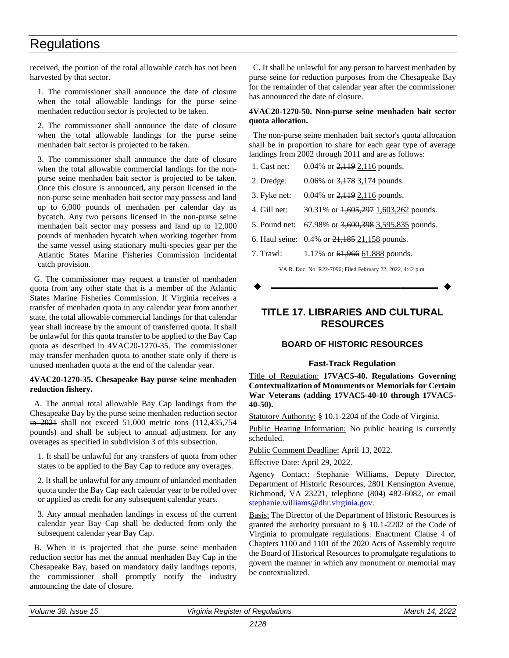<span id="page-15-0"></span>received, the portion of the total allowable catch has not been harvested by that sector.

1. The commissioner shall announce the date of closure when the total allowable landings for the purse seine menhaden reduction sector is projected to be taken.

2. The commissioner shall announce the date of closure when the total allowable landings for the purse seine menhaden bait sector is projected to be taken.

3. The commissioner shall announce the date of closure when the total allowable commercial landings for the nonpurse seine menhaden bait sector is projected to be taken. Once this closure is announced, any person licensed in the non-purse seine menhaden bait sector may possess and land up to 6,000 pounds of menhaden per calendar day as bycatch. Any two persons licensed in the non-purse seine menhaden bait sector may possess and land up to 12,000 pounds of menhaden bycatch when working together from the same vessel using stationary multi-species gear per the Atlantic States Marine Fisheries Commission incidental catch provision.

G. The commissioner may request a transfer of menhaden quota from any other state that is a member of the Atlantic States Marine Fisheries Commission. If Virginia receives a transfer of menhaden quota in any calendar year from another state, the total allowable commercial landings for that calendar year shall increase by the amount of transferred quota. It shall be unlawful for this quota transfer to be applied to the Bay Cap quota as described in 4VAC20-1270-35. The commissioner may transfer menhaden quota to another state only if there is unused menhaden quota at the end of the calendar year.

#### **4VAC20-1270-35. Chesapeake Bay purse seine menhaden reduction fishery.**

A. The annual total allowable Bay Cap landings from the Chesapeake Bay by the purse seine menhaden reduction sector in 2021 shall not exceed 51,000 metric tons (112,435,754 pounds) and shall be subject to annual adjustment for any overages as specified in subdivision 3 of this subsection.

1. It shall be unlawful for any transfers of quota from other states to be applied to the Bay Cap to reduce any overages.

2. It shall be unlawful for any amount of unlanded menhaden quota under the Bay Cap each calendar year to be rolled over or applied as credit for any subsequent calendar years.

3. Any annual menhaden landings in excess of the current calendar year Bay Cap shall be deducted from only the subsequent calendar year Bay Cap.

B. When it is projected that the purse seine menhaden reduction sector has met the annual menhaden Bay Cap in the Chesapeake Bay, based on mandatory daily landings reports, the commissioner shall promptly notify the industry announcing the date of closure.

C. It shall be unlawful for any person to harvest menhaden by purse seine for reduction purposes from the Chesapeake Bay for the remainder of that calendar year after the commissioner has announced the date of closure.

#### **4VAC20-1270-50. Non-purse seine menhaden bait sector quota allocation.**

The non-purse seine menhaden bait sector's quota allocation shall be in proportion to share for each gear type of average landings from 2002 through 2011 and are as follows:

| 1. Cast net: | 0.04% or $2,119$ 2,116 pounds. |
|--------------|--------------------------------|
|--------------|--------------------------------|

2. Dredge: 0.06% or 3,178 3,174 pounds.

3. Fyke net: 0.04% or 2,119 2,116 pounds.

4. Gill net: 30.31% or  $1,605,297$  1,603,262 pounds.

5. Pound net: 67.98% or 3,600,398 3,595,835 pounds.

6. Haul seine: 0.4% or 21,185 21,158 pounds.

7. Trawl: 1.17% or 61,966 61,888 pounds.

VA.R. Doc. No. R22-7096; Filed February 22, 2022, 4:42 p.m.

**––––––––––––––––––**

# **TITLE 17. LIBRARIES AND CULTURAL RESOURCES**

# **BOARD OF HISTORIC RESOURCES**

# **Fast-Track Regulation**

Title of Regulation: **17VAC5-40. Regulations Governing Contextualization of Monuments or Memorials for Certain War Veterans (adding 17VAC5-40-10 through 17VAC5- 40-50).**

Statutory Authority: § 10.1-2204 of the Code of Virginia.

Public Hearing Information: No public hearing is currently scheduled.

Public Comment Deadline: April 13, 2022.

Effective Date: April 29, 2022.

Agency Contact: Stephanie Williams, Deputy Director, Department of Historic Resources, 2801 Kensington Avenue, Richmond, VA 23221, telephone (804) 482-6082, or email [stephanie.williams@dhr.virginia.gov.](mailto:stephanie.williams@dhr.virginia.gov)

Basis: The Director of the Department of Historic Resources is granted the authority pursuant to § 10.1-2202 of the Code of Virginia to promulgate regulations. Enactment Clause 4 of Chapters 1100 and 1101 of the 2020 Acts of Assembly require the Board of Historical Resources to promulgate regulations to govern the manner in which any monument or memorial may be contextualized.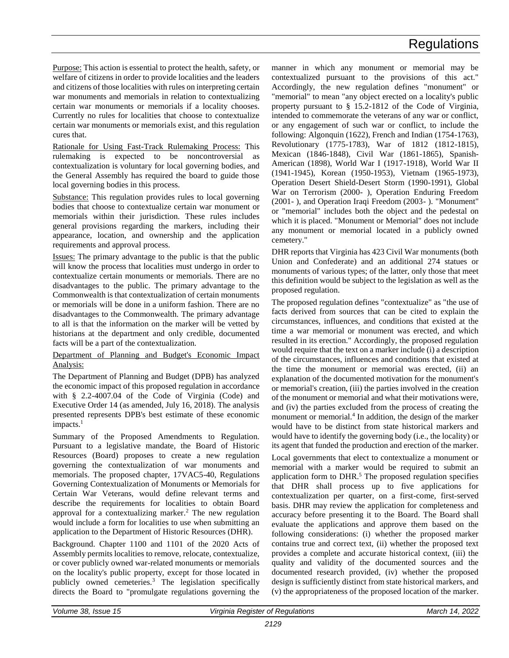Purpose: This action is essential to protect the health, safety, or welfare of citizens in order to provide localities and the leaders and citizens of those localities with rules on interpreting certain war monuments and memorials in relation to contextualizing certain war monuments or memorials if a locality chooses. Currently no rules for localities that choose to contextualize certain war monuments or memorials exist, and this regulation cures that.

Rationale for Using Fast-Track Rulemaking Process: This rulemaking is expected to be noncontroversial as contextualization is voluntary for local governing bodies, and the General Assembly has required the board to guide those local governing bodies in this process.

Substance: This regulation provides rules to local governing bodies that choose to contextualize certain war monument or memorials within their jurisdiction. These rules includes general provisions regarding the markers, including their appearance, location, and ownership and the application requirements and approval process.

Issues: The primary advantage to the public is that the public will know the process that localities must undergo in order to contextualize certain monuments or memorials. There are no disadvantages to the public. The primary advantage to the Commonwealth is that contextualization of certain monuments or memorials will be done in a uniform fashion. There are no disadvantages to the Commonwealth. The primary advantage to all is that the information on the marker will be vetted by historians at the department and only credible, documented facts will be a part of the contextualization.

### Department of Planning and Budget's Economic Impact Analysis:

The Department of Planning and Budget (DPB) has analyzed the economic impact of this proposed regulation in accordance with § 2.2-4007.04 of the Code of Virginia (Code) and Executive Order 14 (as amended, July 16, 2018). The analysis presented represents DPB's best estimate of these economic impacts.<sup>1</sup>

Summary of the Proposed Amendments to Regulation. Pursuant to a legislative mandate, the Board of Historic Resources (Board) proposes to create a new regulation governing the contextualization of war monuments and memorials. The proposed chapter, 17VAC5-40, Regulations Governing Contextualization of Monuments or Memorials for Certain War Veterans, would define relevant terms and describe the requirements for localities to obtain Board approval for a contextualizing marker.<sup>2</sup> The new regulation would include a form for localities to use when submitting an application to the Department of Historic Resources (DHR).

Background. Chapter 1100 and 1101 of the 2020 Acts of Assembly permits localities to remove, relocate, contextualize, or cover publicly owned war-related monuments or memorials on the locality's public property, except for those located in publicly owned cemeteries.<sup>3</sup> The legislation specifically directs the Board to "promulgate regulations governing the

manner in which any monument or memorial may be contextualized pursuant to the provisions of this act." Accordingly, the new regulation defines "monument" or "memorial" to mean "any object erected on a locality's public property pursuant to § 15.2-1812 of the Code of Virginia, intended to commemorate the veterans of any war or conflict, or any engagement of such war or conflict, to include the following: Algonquin (1622), French and Indian (1754-1763), Revolutionary (1775-1783), War of 1812 (1812-1815), Mexican (1846-1848), Civil War (1861-1865), Spanish-American (1898), World War I (1917-1918), World War II (1941-1945), Korean (1950-1953), Vietnam (1965-1973), Operation Desert Shield-Desert Storm (1990-1991), Global War on Terrorism (2000- ), Operation Enduring Freedom (2001- ), and Operation Iraqi Freedom (2003- ). "Monument" or "memorial" includes both the object and the pedestal on which it is placed. "Monument or Memorial" does not include any monument or memorial located in a publicly owned cemetery."

DHR reports that Virginia has 423 Civil War monuments (both Union and Confederate) and an additional 274 statues or monuments of various types; of the latter, only those that meet this definition would be subject to the legislation as well as the proposed regulation.

The proposed regulation defines "contextualize" as "the use of facts derived from sources that can be cited to explain the circumstances, influences, and conditions that existed at the time a war memorial or monument was erected, and which resulted in its erection." Accordingly, the proposed regulation would require that the text on a marker include (i) a description of the circumstances, influences and conditions that existed at the time the monument or memorial was erected, (ii) an explanation of the documented motivation for the monument's or memorial's creation, (iii) the parties involved in the creation of the monument or memorial and what their motivations were, and (iv) the parties excluded from the process of creating the monument or memorial.<sup>4</sup> In addition, the design of the marker would have to be distinct from state historical markers and would have to identify the governing body (i.e., the locality) or its agent that funded the production and erection of the marker.

Local governments that elect to contextualize a monument or memorial with a marker would be required to submit an application form to  $DHR<sup>5</sup>$ . The proposed regulation specifies that DHR shall process up to five applications for contextualization per quarter, on a first-come, first-served basis. DHR may review the application for completeness and accuracy before presenting it to the Board. The Board shall evaluate the applications and approve them based on the following considerations: (i) whether the proposed marker contains true and correct text, (ii) whether the proposed text provides a complete and accurate historical context, (iii) the quality and validity of the documented sources and the documented research provided, (iv) whether the proposed design is sufficiently distinct from state historical markers, and (v) the appropriateness of the proposed location of the marker.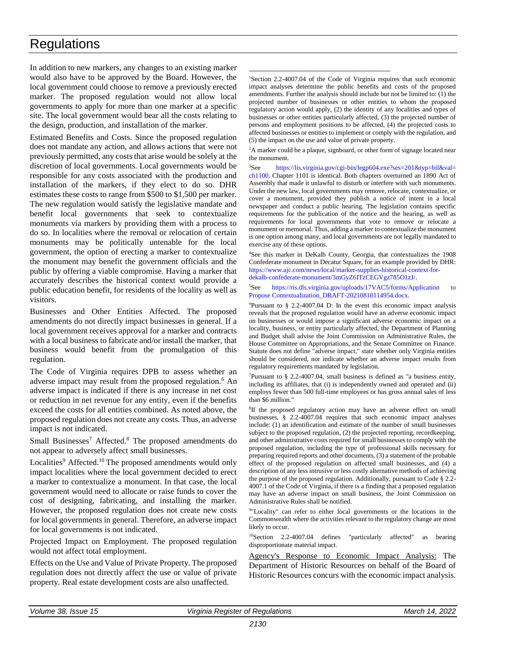In addition to new markers, any changes to an existing marker would also have to be approved by the Board. However, the local government could choose to remove a previously erected marker. The proposed regulation would not allow local governments to apply for more than one marker at a specific site. The local government would bear all the costs relating to the design, production, and installation of the marker.

Estimated Benefits and Costs. Since the proposed regulation does not mandate any action, and allows actions that were not previously permitted, any costs that arise would be solely at the discretion of local governments. Local governments would be responsible for any costs associated with the production and installation of the markers, if they elect to do so. DHR estimates these costs to range from \$500 to \$1,500 per marker. The new regulation would satisfy the legislative mandate and benefit local governments that seek to contextualize monuments via markers by providing them with a process to do so. In localities where the removal or relocation of certain monuments may be politically untenable for the local government, the option of erecting a marker to contextualize the monument may benefit the government officials and the public by offering a viable compromise. Having a marker that accurately describes the historical context would provide a public education benefit, for residents of the locality as well as visitors.

Businesses and Other Entities Affected. The proposed amendments do not directly impact businesses in general. If a local government receives approval for a marker and contracts with a local business to fabricate and/or install the marker, that business would benefit from the promulgation of this regulation.

The Code of Virginia requires DPB to assess whether an adverse impact may result from the proposed regulation.<sup>6</sup> An adverse impact is indicated if there is any increase in net cost or reduction in net revenue for any entity, even if the benefits exceed the costs for all entities combined. As noted above, the proposed regulation does not create any costs. Thus, an adverse impact is not indicated.

Small Businesses<sup>7</sup> Affected.<sup>8</sup> The proposed amendments do not appear to adversely affect small businesses.

Localities<sup>9</sup> Affected.<sup>10</sup> The proposed amendments would only impact localities where the local government decided to erect a marker to contextualize a monument. In that case, the local government would need to allocate or raise funds to cover the cost of designing, fabricating, and installing the marker. However, the proposed regulation does not create new costs for local governments in general. Therefore, an adverse impact for local governments is not indicated.

Projected Impact on Employment. The proposed regulation would not affect total employment.

Effects on the Use and Value of Private Property. The proposed regulation does not directly affect the use or value of private property. Real estate development costs are also unaffected.

<sup>1</sup>Section 2.2-4007.04 of the Code of Virginia requires that such economic impact analyses determine the public benefits and costs of the proposed amendments. Further the analysis should include but not be limited to: (1) the projected number of businesses or other entities to whom the proposed regulatory action would apply, (2) the identity of any localities and types of businesses or other entities particularly affected, (3) the projected number of persons and employment positions to be affected, (4) the projected costs to affected businesses or entities to implement or comply with the regulation, and (5) the impact on the use and value of private property.

\_\_\_\_\_\_\_\_\_\_\_\_\_\_\_\_\_\_\_\_\_\_\_\_\_\_\_\_\_\_\_\_\_\_

<sup>2</sup>A marker could be a plaque, signboard, or other form of signage located near the monument.

<sup>3</sup>See [https://lis.virginia.gov/cgi-bin/legp604.exe?ses=201&typ=bil&val=](https://lis.virginia.gov/cgi-bin/legp604.exe?ses=201&typ=bil&val=ch1100) [ch1100.](https://lis.virginia.gov/cgi-bin/legp604.exe?ses=201&typ=bil&val=ch1100) Chapter 1101 is identical. Both chapters overturned an 1890 Act of Assembly that made it unlawful to disturb or interfere with such monuments. Under the new law, local governments may remove, relocate, contextualize, or cover a monument, provided they publish a notice of intent in a local newspaper and conduct a public hearing. The legislation contains specific requirements for the publication of the notice and the hearing, as well as requirements for local governments that vote to remove or relocate a monument or memorial. Thus, adding a marker to contextualize the monument is one option among many, and local governments are not legally mandated to exercise any of these options.

<sup>4</sup>See this marker in DeKalb County, Georgia, that contextualizes the 1908 Confederate monument in Decatur Square, for an example provided by DHR: [https://www.ajc.com/news/local/marker-supplies-historical-context-for](https://www.ajc.com/news/local/marker-supplies-historical-context-for-dekalb-confederate-monument/3mGyZ6ITzCEGVgz785O1zJ/)[dekalb-confederate-monument/3mGyZ6ITzCEGVgz785O1zJ/.](https://www.ajc.com/news/local/marker-supplies-historical-context-for-dekalb-confederate-monument/3mGyZ6ITzCEGVgz785O1zJ/)

#### <sup>5</sup>See https://ris.dls.virginia.gov/uploads/17VAC5/forms/Application to [Propose Contextualization\\_DRAFT-20210810114954.docx.](https://ris.dls.virginia.gov/uploads/17VAC5/forms/Application%20to%20Propose%20Contextualization_DRAFT-20210810114954.html)

 ${}^{6}$ Pursuant to § 2.2-4007.04 D: In the event this economic impact analysis reveals that the proposed regulation would have an adverse economic impact on businesses or would impose a significant adverse economic impact on a locality, business, or entity particularly affected, the Department of Planning and Budget shall advise the Joint Commission on Administrative Rules, the House Committee on Appropriations, and the Senate Committee on Finance. Statute does not define "adverse impact," state whether only Virginia entities should be considered, nor indicate whether an adverse impact results from regulatory requirements mandated by legislation.

<sup>7</sup>Pursuant to  $\S$  2.2-4007.04, small business is defined as "a business entity, including its affiliates, that (i) is independently owned and operated and (ii) employs fewer than 500 full-time employees or has gross annual sales of less than \$6 million."

<sup>8</sup>If the proposed regulatory action may have an adverse effect on small businesses, § 2.2-4007.04 requires that such economic impact analyses include: (1) an identification and estimate of the number of small businesses subject to the proposed regulation, (2) the projected reporting, recordkeeping, and other administrative costs required for small businesses to comply with the proposed regulation, including the type of professional skills necessary for preparing required reports and other documents, (3) a statement of the probable effect of the proposed regulation on affected small businesses, and (4) a description of any less intrusive or less costly alternative methods of achieving the purpose of the proposed regulation. Additionally, pursuant to Code § 2.2- 4007.1 of the Code of Virginia, if there is a finding that a proposed regulation may have an adverse impact on small business, the Joint Commission on Administrative Rules shall be notified.

<sup>9</sup>"Locality" can refer to either local governments or the locations in the Commonwealth where the activities relevant to the regulatory change are most likely to occur.

<sup>10</sup>Section 2.2-4007.04 defines "particularly affected" as bearing disproportionate material impact.

Agency's Response to Economic Impact Analysis: The Department of Historic Resources on behalf of the Board of Historic Resources concurs with the economic impact analysis.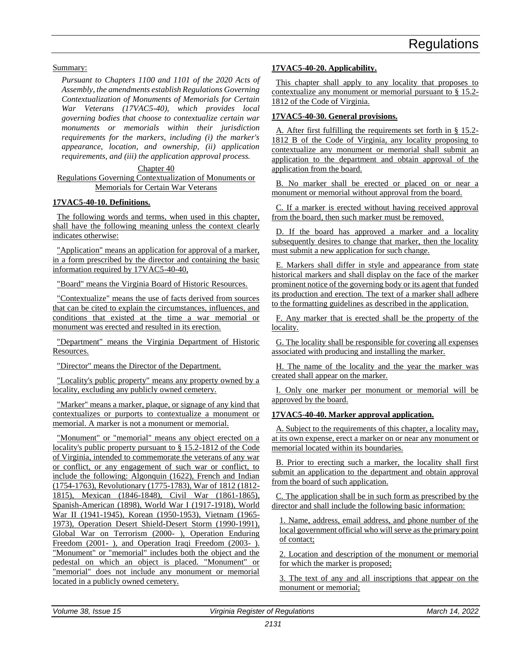Summary:

*Pursuant to Chapters 1100 and 1101 of the 2020 Acts of Assembly, the amendments establish Regulations Governing Contextualization of Monuments of Memorials for Certain War Veterans (17VAC5-40), which provides local governing bodies that choose to contextualize certain war monuments or memorials within their jurisdiction requirements for the markers, including (i) the marker's appearance, location, and ownership, (ii) application requirements, and (iii) the application approval process.*

Chapter 40

Regulations Governing Contextualization of Monuments or Memorials for Certain War Veterans

# **17VAC5-40-10. Definitions.**

The following words and terms, when used in this chapter, shall have the following meaning unless the context clearly indicates otherwise:

"Application" means an application for approval of a marker, in a form prescribed by the director and containing the basic information required by 17VAC5-40-40,

"Board" means the Virginia Board of Historic Resources.

"Contextualize" means the use of facts derived from sources that can be cited to explain the circumstances, influences, and conditions that existed at the time a war memorial or monument was erected and resulted in its erection.

"Department" means the Virginia Department of Historic Resources.

"Director" means the Director of the Department.

"Locality's public property" means any property owned by a locality, excluding any publicly owned cemetery.

"Marker" means a marker, plaque, or signage of any kind that contextualizes or purports to contextualize a monument or memorial. A marker is not a monument or memorial.

"Monument" or "memorial" means any object erected on a locality's public property pursuant to § 15.2-1812 of the Code of Virginia, intended to commemorate the veterans of any war or conflict, or any engagement of such war or conflict, to include the following: Algonquin (1622), French and Indian (1754-1763), Revolutionary (1775-1783), War of 1812 (1812- 1815), Mexican (1846-1848), Civil War (1861-1865), Spanish-American (1898), World War I (1917-1918), World War II (1941-1945), Korean (1950-1953), Vietnam (1965- 1973), Operation Desert Shield-Desert Storm (1990-1991), Global War on Terrorism (2000- ), Operation Enduring Freedom (2001-), and Operation Iraqi Freedom (2003-). "Monument" or "memorial" includes both the object and the pedestal on which an object is placed. "Monument" or "memorial" does not include any monument or memorial located in a publicly owned cemetery.

# **17VAC5-40-20. Applicability.**

This chapter shall apply to any locality that proposes to contextualize any monument or memorial pursuant to § 15.2- 1812 of the Code of Virginia.

# **17VAC5-40-30. General provisions.**

A. After first fulfilling the requirements set forth in § 15.2- 1812 B of the Code of Virginia, any locality proposing to contextualize any monument or memorial shall submit an application to the department and obtain approval of the application from the board.

B. No marker shall be erected or placed on or near a monument or memorial without approval from the board.

C. If a marker is erected without having received approval from the board, then such marker must be removed.

D. If the board has approved a marker and a locality subsequently desires to change that marker, then the locality must submit a new application for such change.

E. Markers shall differ in style and appearance from state historical markers and shall display on the face of the marker prominent notice of the governing body or its agent that funded its production and erection. The text of a marker shall adhere to the formatting guidelines as described in the application.

F. Any marker that is erected shall be the property of the locality.

G. The locality shall be responsible for covering all expenses associated with producing and installing the marker.

H. The name of the locality and the year the marker was created shall appear on the marker.

I. Only one marker per monument or memorial will be approved by the board.

### **17VAC5-40-40. Marker approval application.**

A. Subject to the requirements of this chapter, a locality may, at its own expense, erect a marker on or near any monument or memorial located within its boundaries.

B. Prior to erecting such a marker, the locality shall first submit an application to the department and obtain approval from the board of such application.

C. The application shall be in such form as prescribed by the director and shall include the following basic information:

1. Name, address, email address, and phone number of the local government official who will serve as the primary point of contact;

2. Location and description of the monument or memorial for which the marker is proposed;

3. The text of any and all inscriptions that appear on the monument or memorial;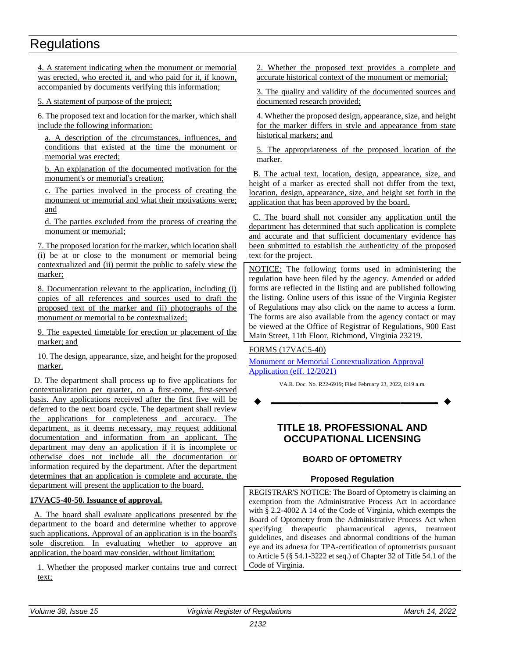<span id="page-19-0"></span>4. A statement indicating when the monument or memorial was erected, who erected it, and who paid for it, if known, accompanied by documents verifying this information;

5. A statement of purpose of the project;

6. The proposed text and location for the marker, which shall include the following information:

a. A description of the circumstances, influences, and conditions that existed at the time the monument or memorial was erected;

b. An explanation of the documented motivation for the monument's or memorial's creation;

c. The parties involved in the process of creating the monument or memorial and what their motivations were; and

d. The parties excluded from the process of creating the monument or memorial;

7. The proposed location for the marker, which location shall (i) be at or close to the monument or memorial being contextualized and (ii) permit the public to safely view the marker;

8. Documentation relevant to the application, including (i) copies of all references and sources used to draft the proposed text of the marker and (ii) photographs of the monument or memorial to be contextualized;

9. The expected timetable for erection or placement of the marker; and

10. The design, appearance, size, and height for the proposed marker.

D. The department shall process up to five applications for contextualization per quarter, on a first-come, first-served basis. Any applications received after the first five will be deferred to the next board cycle. The department shall review the applications for completeness and accuracy. The department, as it deems necessary, may request additional documentation and information from an applicant. The department may deny an application if it is incomplete or otherwise does not include all the documentation or information required by the department. After the department determines that an application is complete and accurate, the department will present the application to the board.

# **17VAC5-40-50. Issuance of approval.**

A. The board shall evaluate applications presented by the department to the board and determine whether to approve such applications. Approval of an application is in the board's sole discretion. In evaluating whether to approve an application, the board may consider, without limitation:

1. Whether the proposed marker contains true and correct text;

2. Whether the proposed text provides a complete and accurate historical context of the monument or memorial;

3. The quality and validity of the documented sources and documented research provided;

4. Whether the proposed design, appearance, size, and height for the marker differs in style and appearance from state historical markers; and

5. The appropriateness of the proposed location of the marker.

B. The actual text, location, design, appearance, size, and height of a marker as erected shall not differ from the text, location, design, appearance, size, and height set forth in the application that has been approved by the board.

C. The board shall not consider any application until the department has determined that such application is complete and accurate and that sufficient documentary evidence has been submitted to establish the authenticity of the proposed text for the project.

NOTICE: The following forms used in administering the regulation have been filed by the agency. Amended or added forms are reflected in the listing and are published following the listing. Online users of this issue of the Virginia Register of Regulations may also click on the name to access a form. The forms are also available from the agency contact or may be viewed at the Office of Registrar of Regulations, 900 East Main Street, 11th Floor, Richmond, Virginia 23219.

# FORMS (17VAC5-40)

[Monument or Memorial Contextualization Approval](https://ris.dls.virginia.gov/uploads/17VAC5/forms/Application%20to%20Propose%20Contextualization_FINAL-20220224130713.pdf)  [Application \(eff. 12/2021\)](https://ris.dls.virginia.gov/uploads/17VAC5/forms/Application%20to%20Propose%20Contextualization_FINAL-20220224130713.pdf)

VA.R. Doc. No. R22-6919; Filed February 23, 2022, 8:19 a.m.

**––––––––––––––––––**

# **TITLE 18. PROFESSIONAL AND OCCUPATIONAL LICENSING**

# **BOARD OF OPTOMETRY**

# **Proposed Regulation**

REGISTRAR'S NOTICE: The Board of Optometry is claiming an exemption from the Administrative Process Act in accordance with § 2.2-4002 A 14 of the Code of Virginia, which exempts the Board of Optometry from the Administrative Process Act when specifying therapeutic pharmaceutical agents, treatment guidelines, and diseases and abnormal conditions of the human eye and its adnexa for TPA-certification of optometrists pursuant to Article 5 (§ 54.1-3222 et seq.) of Chapter 32 of Title 54.1 of the Code of Virginia.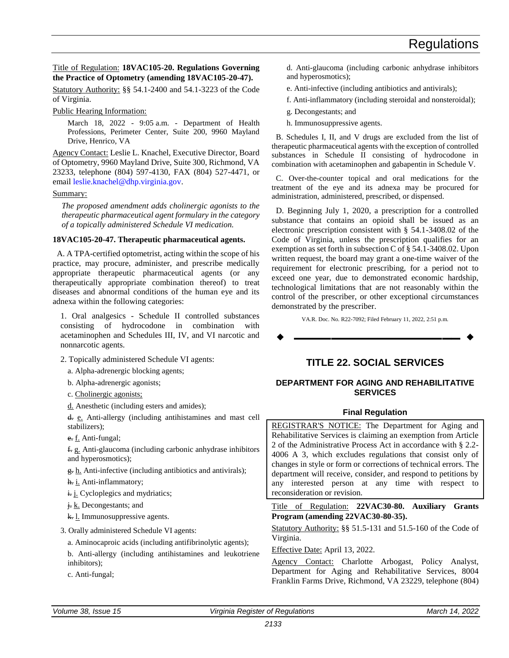#### <span id="page-20-0"></span>Title of Regulation: **18VAC105-20. Regulations Governing the Practice of Optometry (amending 18VAC105-20-47).**

Statutory Authority: §§ 54.1-2400 and 54.1-3223 of the Code of Virginia.

Public Hearing Information:

March 18, 2022 - 9:05 a.m. - Department of Health Professions, Perimeter Center, Suite 200, 9960 Mayland Drive, Henrico, VA

Agency Contact: Leslie L. Knachel, Executive Director, Board of Optometry, 9960 Mayland Drive, Suite 300, Richmond, VA 23233, telephone (804) 597-4130, FAX (804) 527-4471, or email [leslie.knachel@dhp.virginia.gov.](mailto:leslie.knachel@dhp.virginia.gov)

#### Summary:

*The proposed amendment adds cholinergic agonists to the therapeutic pharmaceutical agent formulary in the category of a topically administered Schedule VI medication.*

### **18VAC105-20-47. Therapeutic pharmaceutical agents.**

A. A TPA-certified optometrist, acting within the scope of his practice, may procure, administer, and prescribe medically appropriate therapeutic pharmaceutical agents (or any therapeutically appropriate combination thereof) to treat diseases and abnormal conditions of the human eye and its adnexa within the following categories:

1. Oral analgesics - Schedule II controlled substances consisting of hydrocodone in combination with acetaminophen and Schedules III, IV, and VI narcotic and nonnarcotic agents.

- 2. Topically administered Schedule VI agents:
	- a. Alpha-adrenergic blocking agents;
	- b. Alpha-adrenergic agonists;
	- c. Cholinergic agonists;
	- d. Anesthetic (including esters and amides);

d. e. Anti-allergy (including antihistamines and mast cell stabilizers);

e. f. Anti-fungal;

f. g. Anti-glaucoma (including carbonic anhydrase inhibitors and hyperosmotics);

g. h. Anti-infective (including antibiotics and antivirals);

h. i. Anti-inflammatory;

i. j. Cycloplegics and mydriatics;

- j. k. Decongestants; and
- k. *l.* Immunosuppressive agents.
- 3. Orally administered Schedule VI agents:
	- a. Aminocaproic acids (including antifibrinolytic agents);
	- b. Anti-allergy (including antihistamines and leukotriene inhibitors);
	- c. Anti-fungal;

d. Anti-glaucoma (including carbonic anhydrase inhibitors and hyperosmotics);

- e. Anti-infective (including antibiotics and antivirals);
- f. Anti-inflammatory (including steroidal and nonsteroidal);
- g. Decongestants; and
- h. Immunosuppressive agents.

B. Schedules I, II, and V drugs are excluded from the list of therapeutic pharmaceutical agents with the exception of controlled substances in Schedule II consisting of hydrocodone in combination with acetaminophen and gabapentin in Schedule V.

C. Over-the-counter topical and oral medications for the treatment of the eye and its adnexa may be procured for administration, administered, prescribed, or dispensed.

D. Beginning July 1, 2020, a prescription for a controlled substance that contains an opioid shall be issued as an electronic prescription consistent with § 54.1-3408.02 of the Code of Virginia, unless the prescription qualifies for an exemption as set forth in subsection C of § 54.1-3408.02. Upon written request, the board may grant a one-time waiver of the requirement for electronic prescribing, for a period not to exceed one year, due to demonstrated economic hardship, technological limitations that are not reasonably within the control of the prescriber, or other exceptional circumstances demonstrated by the prescriber.

VA.R. Doc. No. R22-7092; Filed February 11, 2022, 2:51 p.m.

**––––––––––––––––––**

# **TITLE 22. SOCIAL SERVICES**

### **DEPARTMENT FOR AGING AND REHABILITATIVE SERVICES**

### **Final Regulation**

REGISTRAR'S NOTICE: The Department for Aging and Rehabilitative Services is claiming an exemption from Article 2 of the Administrative Process Act in accordance with § 2.2- 4006 A 3, which excludes regulations that consist only of changes in style or form or corrections of technical errors. The department will receive, consider, and respond to petitions by any interested person at any time with respect to reconsideration or revision.

Title of Regulation: **22VAC30-80. Auxiliary Grants Program (amending 22VAC30-80-35).**

Statutory Authority: §§ 51.5-131 and 51.5-160 of the Code of Virginia.

Effective Date: April 13, 2022.

Agency Contact: Charlotte Arbogast, Policy Analyst, Department for Aging and Rehabilitative Services, 8004 Franklin Farms Drive, Richmond, VA 23229, telephone (804)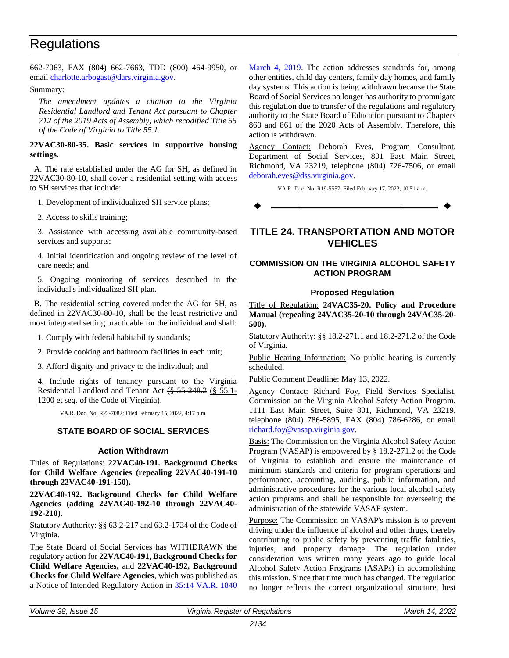<span id="page-21-0"></span>662-7063, FAX (804) 662-7663, TDD (800) 464-9950, or emai[l charlotte.arbogast@dars.virginia.gov.](mailto:charlotte.arbogast@dars.virginia.gov)

### Summary:

*The amendment updates a citation to the Virginia Residential Landlord and Tenant Act pursuant to Chapter 712 of the 2019 Acts of Assembly, which recodified Title 55 of the Code of Virginia to Title 55.1.*

**22VAC30-80-35. Basic services in supportive housing settings.**

A. The rate established under the AG for SH, as defined in 22VAC30-80-10, shall cover a residential setting with access to SH services that include:

1. Development of individualized SH service plans;

2. Access to skills training;

3. Assistance with accessing available community-based services and supports;

4. Initial identification and ongoing review of the level of care needs; and

5. Ongoing monitoring of services described in the individual's individualized SH plan.

B. The residential setting covered under the AG for SH, as defined in 22VAC30-80-10, shall be the least restrictive and most integrated setting practicable for the individual and shall:

1. Comply with federal habitability standards;

2. Provide cooking and bathroom facilities in each unit;

3. Afford dignity and privacy to the individual; and

4. Include rights of tenancy pursuant to the Virginia Residential Landlord and Tenant Act (§ 55-248.2 (§ 55.1- 1200 et seq. of the Code of Virginia).

VA.R. Doc. No. R22-7082; Filed February 15, 2022, 4:17 p.m.

# **STATE BOARD OF SOCIAL SERVICES**

### **Action Withdrawn**

Titles of Regulations: **22VAC40-191. Background Checks for Child Welfare Agencies (repealing 22VAC40-191-10 through 22VAC40-191-150).**

**22VAC40-192. Background Checks for Child Welfare Agencies (adding 22VAC40-192-10 through 22VAC40- 192-210).**

Statutory Authority: §§ 63.2-217 and 63.2-1734 of the Code of Virginia.

The State Board of Social Services has WITHDRAWN the regulatory action for **22VAC40-191, Background Checks for Child Welfare Agencies,** and **22VAC40-192, Background Checks for Child Welfare Agencies**, which was published as a Notice of Intended Regulatory Action in [35:14 VA.R. 1840](http://register.dls.virginia.gov/details.aspx?id=7386)  [March 4, 2019.](http://register.dls.virginia.gov/details.aspx?id=7386) The action addresses standards for, among other entities, child day centers, family day homes, and family day systems. This action is being withdrawn because the State Board of Social Services no longer has authority to promulgate this regulation due to transfer of the regulations and regulatory authority to the State Board of Education pursuant to Chapters 860 and 861 of the 2020 Acts of Assembly. Therefore, this action is withdrawn.

Agency Contact: Deborah Eves, Program Consultant, Department of Social Services, 801 East Main Street, Richmond, VA 23219, telephone (804) 726-7506, or email [deborah.eves@dss.virginia.gov.](mailto:deborah.eves@dss.virginia.gov)

VA.R. Doc. No. R19-5557; Filed February 17, 2022, 10:51 a.m.

**––––––––––––––––––**

# **TITLE 24. TRANSPORTATION AND MOTOR VEHICLES**

# **COMMISSION ON THE VIRGINIA ALCOHOL SAFETY ACTION PROGRAM**

# **Proposed Regulation**

Title of Regulation: **24VAC35-20. Policy and Procedure Manual (repealing 24VAC35-20-10 through 24VAC35-20- 500).**

Statutory Authority: §§ 18.2-271.1 and 18.2-271.2 of the Code of Virginia.

Public Hearing Information: No public hearing is currently scheduled.

Public Comment Deadline: May 13, 2022.

Agency Contact: Richard Foy, Field Services Specialist, Commission on the Virginia Alcohol Safety Action Program, 1111 East Main Street, Suite 801, Richmond, VA 23219, telephone (804) 786-5895, FAX (804) 786-6286, or email [richard.foy@vasap.virginia.gov.](mailto:richard.foy@vasap.virginia.gov)

Basis: The Commission on the Virginia Alcohol Safety Action Program (VASAP) is empowered by § 18.2-271.2 of the Code of Virginia to establish and ensure the maintenance of minimum standards and criteria for program operations and performance, accounting, auditing, public information, and administrative procedures for the various local alcohol safety action programs and shall be responsible for overseeing the administration of the statewide VASAP system.

Purpose: The Commission on VASAP's mission is to prevent driving under the influence of alcohol and other drugs, thereby contributing to public safety by preventing traffic fatalities, injuries, and property damage. The regulation under consideration was written many years ago to guide local Alcohol Safety Action Programs (ASAPs) in accomplishing this mission. Since that time much has changed. The regulation no longer reflects the correct organizational structure, best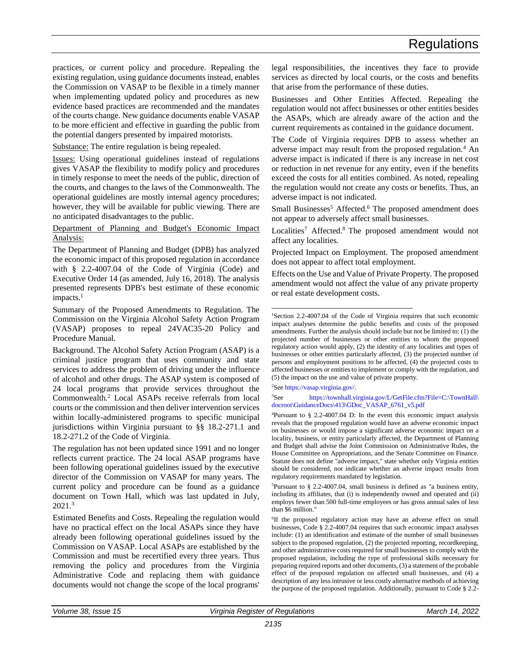practices, or current policy and procedure. Repealing the existing regulation, using guidance documents instead, enables the Commission on VASAP to be flexible in a timely manner when implementing updated policy and procedures as new evidence based practices are recommended and the mandates of the courts change. New guidance documents enable VASAP to be more efficient and effective in guarding the public from the potential dangers presented by impaired motorists.

Substance: The entire regulation is being repealed.

Issues: Using operational guidelines instead of regulations gives VASAP the flexibility to modify policy and procedures in timely response to meet the needs of the public, direction of the courts, and changes to the laws of the Commonwealth. The operational guidelines are mostly internal agency procedures; however, they will be available for public viewing. There are no anticipated disadvantages to the public.

Department of Planning and Budget's Economic Impact Analysis:

The Department of Planning and Budget (DPB) has analyzed the economic impact of this proposed regulation in accordance with § 2.2-4007.04 of the Code of Virginia (Code) and Executive Order 14 (as amended, July 16, 2018). The analysis presented represents DPB's best estimate of these economic impacts.<sup>1</sup>

Summary of the Proposed Amendments to Regulation. The Commission on the Virginia Alcohol Safety Action Program (VASAP) proposes to repeal 24VAC35-20 Policy and Procedure Manual.

Background. The Alcohol Safety Action Program (ASAP) is a criminal justice program that uses community and state services to address the problem of driving under the influence of alcohol and other drugs. The ASAP system is composed of 24 local programs that provide services throughout the Commonwealth.<sup>2</sup> Local ASAPs receive referrals from local courts or the commission and then deliver intervention services within locally-administered programs to specific municipal jurisdictions within Virginia pursuant to §§ 18.2-271.1 and 18.2-271.2 of the Code of Virginia.

The regulation has not been updated since 1991 and no longer reflects current practice. The 24 local ASAP programs have been following operational guidelines issued by the executive director of the Commission on VASAP for many years. The current policy and procedure can be found as a guidance document on Town Hall, which was last updated in July, 2021.<sup>3</sup>

Estimated Benefits and Costs. Repealing the regulation would have no practical effect on the local ASAPs since they have already been following operational guidelines issued by the Commission on VASAP. Local ASAPs are established by the Commission and must be recertified every three years. Thus removing the policy and procedures from the Virginia Administrative Code and replacing them with guidance documents would not change the scope of the local programs'

legal responsibilities, the incentives they face to provide services as directed by local courts, or the costs and benefits that arise from the performance of these duties.

Businesses and Other Entities Affected. Repealing the regulation would not affect businesses or other entities besides the ASAPs, which are already aware of the action and the current requirements as contained in the guidance document.

The Code of Virginia requires DPB to assess whether an adverse impact may result from the proposed regulation.<sup>4</sup> An adverse impact is indicated if there is any increase in net cost or reduction in net revenue for any entity, even if the benefits exceed the costs for all entities combined. As noted, repealing the regulation would not create any costs or benefits. Thus, an adverse impact is not indicated.

Small Businesses<sup>5</sup> Affected.<sup>6</sup> The proposed amendment does not appear to adversely affect small businesses.

Localities<sup>7</sup> Affected.<sup>8</sup> The proposed amendment would not affect any localities.

Projected Impact on Employment. The proposed amendment does not appear to affect total employment.

Effects on the Use and Value of Private Property. The proposed amendment would not affect the value of any private property or real estate development costs.

\_\_\_\_\_\_\_\_\_\_\_\_\_\_\_\_\_\_\_\_\_\_\_\_\_\_\_\_\_\_\_\_\_\_

<sup>2</sup>See [https://vasap.virginia.gov/.](https://vasap.virginia.gov/) 

<sup>3</sup>See [https://townhall.virginia.gov/L/GetFile.cfm?File=C:\TownHall\](https://townhall.virginia.gov/L/GetFile.cfm?File=C:/TownHall/docroot/GuidanceDocs/413/GDoc_VASAP_6761_v5.pdf) [docroot\GuidanceDocs\413\GDoc\\_VASAP\\_6761\\_v5.pdf](https://townhall.virginia.gov/L/GetFile.cfm?File=C:/TownHall/docroot/GuidanceDocs/413/GDoc_VASAP_6761_v5.pdf)

<sup>4</sup>Pursuant to § 2.2-4007.04 D: In the event this economic impact analysis reveals that the proposed regulation would have an adverse economic impact on businesses or would impose a significant adverse economic impact on a locality, business, or entity particularly affected, the Department of Planning and Budget shall advise the Joint Commission on Administrative Rules, the House Committee on Appropriations, and the Senate Committee on Finance. Statute does not define "adverse impact," state whether only Virginia entities should be considered, nor indicate whether an adverse impact results from regulatory requirements mandated by legislation.

<sup>5</sup>Pursuant to § 2.2-4007.04, small business is defined as "a business entity, including its affiliates, that (i) is independently owned and operated and (ii) employs fewer than 500 full-time employees or has gross annual sales of less than \$6 million."

<sup>6</sup>If the proposed regulatory action may have an adverse effect on small businesses, Code § 2.2-4007.04 requires that such economic impact analyses include: (1) an identification and estimate of the number of small businesses subject to the proposed regulation, (2) the projected reporting, recordkeeping, and other administrative costs required for small businesses to comply with the proposed regulation, including the type of professional skills necessary for preparing required reports and other documents, (3) a statement of the probable effect of the proposed regulation on affected small businesses, and (4) a description of any less intrusive or less costly alternative methods of achieving the purpose of the proposed regulation. Additionally, pursuant to Code § 2.2-

<sup>1</sup>Section 2.2-4007.04 of the Code of Virginia requires that such economic impact analyses determine the public benefits and costs of the proposed amendments. Further the analysis should include but not be limited to:  $(1)$  the projected number of businesses or other entities to whom the proposed regulatory action would apply, (2) the identity of any localities and types of businesses or other entities particularly affected, (3) the projected number of persons and employment positions to be affected, (4) the projected costs to affected businesses or entities to implement or comply with the regulation, and (5) the impact on the use and value of private property.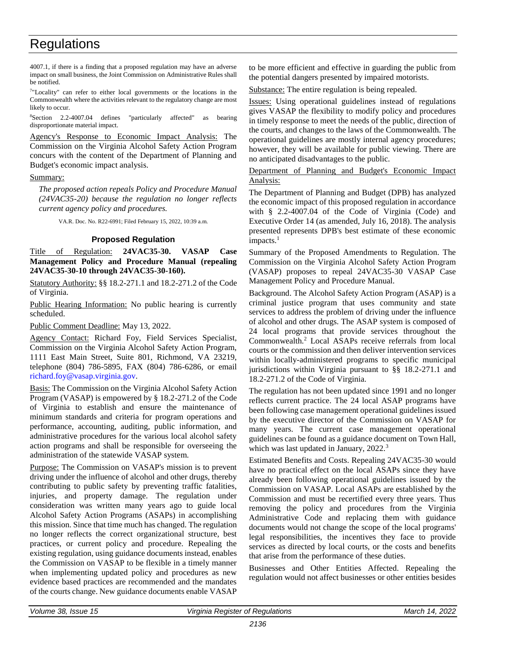<span id="page-23-0"></span>4007.1, if there is a finding that a proposed regulation may have an adverse impact on small business, the Joint Commission on Administrative Rules shall be notified.

<sup>7</sup>"Locality" can refer to either local governments or the locations in the Commonwealth where the activities relevant to the regulatory change are most likely to occur.

<sup>8</sup>Section 2.2-4007.04 defines "particularly affected" as bearing disproportionate material impact.

Agency's Response to Economic Impact Analysis: The Commission on the Virginia Alcohol Safety Action Program concurs with the content of the Department of Planning and Budget's economic impact analysis.

#### Summary:

*The proposed action repeals Policy and Procedure Manual (24VAC35-20) because the regulation no longer reflects current agency policy and procedures.*

VA.R. Doc. No. R22-6991; Filed February 15, 2022, 10:39 a.m.

### **Proposed Regulation**

Title of Regulation: **24VAC35-30. VASAP Case Management Policy and Procedure Manual (repealing 24VAC35-30-10 through 24VAC35-30-160).**

Statutory Authority: §§ 18.2-271.1 and 18.2-271.2 of the Code of Virginia.

Public Hearing Information: No public hearing is currently scheduled.

Public Comment Deadline: May 13, 2022.

Agency Contact: Richard Foy, Field Services Specialist, Commission on the Virginia Alcohol Safety Action Program, 1111 East Main Street, Suite 801, Richmond, VA 23219, telephone (804) 786-5895, FAX (804) 786-6286, or email [richard.foy@vasap.virginia.gov.](mailto:richard.foy@vasap.virginia.gov)

Basis: The Commission on the Virginia Alcohol Safety Action Program (VASAP) is empowered by § 18.2-271.2 of the Code of Virginia to establish and ensure the maintenance of minimum standards and criteria for program operations and performance, accounting, auditing, public information, and administrative procedures for the various local alcohol safety action programs and shall be responsible for overseeing the administration of the statewide VASAP system.

Purpose: The Commission on VASAP's mission is to prevent driving under the influence of alcohol and other drugs, thereby contributing to public safety by preventing traffic fatalities, injuries, and property damage. The regulation under consideration was written many years ago to guide local Alcohol Safety Action Programs (ASAPs) in accomplishing this mission. Since that time much has changed. The regulation no longer reflects the correct organizational structure, best practices, or current policy and procedure. Repealing the existing regulation, using guidance documents instead, enables the Commission on VASAP to be flexible in a timely manner when implementing updated policy and procedures as new evidence based practices are recommended and the mandates of the courts change. New guidance documents enable VASAP to be more efficient and effective in guarding the public from the potential dangers presented by impaired motorists.

Substance: The entire regulation is being repealed.

Issues: Using operational guidelines instead of regulations gives VASAP the flexibility to modify policy and procedures in timely response to meet the needs of the public, direction of the courts, and changes to the laws of the Commonwealth. The operational guidelines are mostly internal agency procedures; however, they will be available for public viewing. There are no anticipated disadvantages to the public.

Department of Planning and Budget's Economic Impact Analysis:

The Department of Planning and Budget (DPB) has analyzed the economic impact of this proposed regulation in accordance with § 2.2-4007.04 of the Code of Virginia (Code) and Executive Order 14 (as amended, July 16, 2018). The analysis presented represents DPB's best estimate of these economic impacts.<sup>1</sup>

Summary of the Proposed Amendments to Regulation. The Commission on the Virginia Alcohol Safety Action Program (VASAP) proposes to repeal 24VAC35-30 VASAP Case Management Policy and Procedure Manual.

Background. The Alcohol Safety Action Program (ASAP) is a criminal justice program that uses community and state services to address the problem of driving under the influence of alcohol and other drugs. The ASAP system is composed of 24 local programs that provide services throughout the Commonwealth.<sup>2</sup> Local ASAPs receive referrals from local courts or the commission and then deliver intervention services within locally-administered programs to specific municipal jurisdictions within Virginia pursuant to §§ 18.2-271.1 and 18.2-271.2 of the Code of Virginia.

The regulation has not been updated since 1991 and no longer reflects current practice. The 24 local ASAP programs have been following case management operational guidelines issued by the executive director of the Commission on VASAP for many years. The current case management operational guidelines can be found as a guidance document on Town Hall, which was last updated in January, 2022.<sup>3</sup>

Estimated Benefits and Costs. Repealing 24VAC35-30 would have no practical effect on the local ASAPs since they have already been following operational guidelines issued by the Commission on VASAP. Local ASAPs are established by the Commission and must be recertified every three years. Thus removing the policy and procedures from the Virginia Administrative Code and replacing them with guidance documents would not change the scope of the local programs' legal responsibilities, the incentives they face to provide services as directed by local courts, or the costs and benefits that arise from the performance of these duties.

Businesses and Other Entities Affected. Repealing the regulation would not affect businesses or other entities besides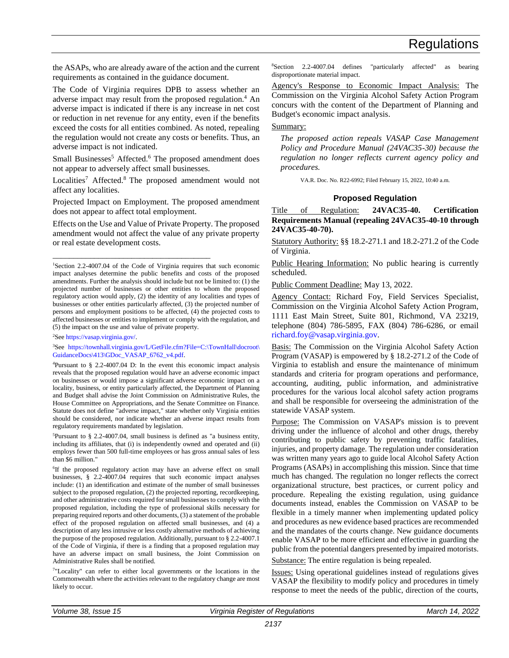<span id="page-24-0"></span>the ASAPs, who are already aware of the action and the current requirements as contained in the guidance document.

The Code of Virginia requires DPB to assess whether an adverse impact may result from the proposed regulation.<sup>4</sup> An adverse impact is indicated if there is any increase in net cost or reduction in net revenue for any entity, even if the benefits exceed the costs for all entities combined. As noted, repealing the regulation would not create any costs or benefits. Thus, an adverse impact is not indicated.

Small Businesses<sup>5</sup> Affected.<sup>6</sup> The proposed amendment does not appear to adversely affect small businesses.

Localities<sup>7</sup> Affected.<sup>8</sup> The proposed amendment would not affect any localities.

Projected Impact on Employment. The proposed amendment does not appear to affect total employment.

Effects on the Use and Value of Private Property. The proposed amendment would not affect the value of any private property or real estate development costs.

\_\_\_\_\_\_\_\_\_\_\_\_\_\_\_\_\_\_\_\_\_\_\_\_\_\_\_\_\_\_\_\_\_\_\_\_\_\_

<sup>2</sup>Se[e https://vasap.virginia.gov/.](https://vasap.virginia.gov/)

<sup>3</sup>See [https://townhall.virginia.gov/L/GetFile.cfm?File=C:\TownHall\docroot\](https://townhall.virginia.gov/L/GetFile.cfm?File=C:/TownHall/docroot/GuidanceDocs/413/GDoc_VASAP_6762_v4.pdf) [GuidanceDocs\413\GDoc\\_VASAP\\_6762\\_v4.pdf.](https://townhall.virginia.gov/L/GetFile.cfm?File=C:/TownHall/docroot/GuidanceDocs/413/GDoc_VASAP_6762_v4.pdf)

 $5$ Pursuant to § 2.2-4007.04, small business is defined as "a business entity, including its affiliates, that (i) is independently owned and operated and (ii) employs fewer than 500 full-time employees or has gross annual sales of less than \$6 million."

<sup>6</sup>If the proposed regulatory action may have an adverse effect on small businesses, § 2.2-4007.04 requires that such economic impact analyses include: (1) an identification and estimate of the number of small businesses subject to the proposed regulation, (2) the projected reporting, recordkeeping, and other administrative costs required for small businesses to comply with the proposed regulation, including the type of professional skills necessary for preparing required reports and other documents, (3) a statement of the probable effect of the proposed regulation on affected small businesses, and (4) a description of any less intrusive or less costly alternative methods of achieving the purpose of the proposed regulation. Additionally, pursuant to § 2.2-4007.1 of the Code of Virginia, if there is a finding that a proposed regulation may have an adverse impact on small business, the Joint Commission on Administrative Rules shall be notified.

7 "Locality" can refer to either local governments or the locations in the Commonwealth where the activities relevant to the regulatory change are most likely to occur.

<sup>8</sup>Section 2.2-4007.04 defines "particularly affected" as bearing disproportionate material impact.

Agency's Response to Economic Impact Analysis: The Commission on the Virginia Alcohol Safety Action Program concurs with the content of the Department of Planning and Budget's economic impact analysis.

#### Summary:

*The proposed action repeals VASAP Case Management Policy and Procedure Manual (24VAC35-30) because the regulation no longer reflects current agency policy and procedures.*

VA.R. Doc. No. R22-6992; Filed February 15, 2022, 10:40 a.m.

### **Proposed Regulation**

Title of Regulation: **24VAC35-40. Certification Requirements Manual (repealing 24VAC35-40-10 through 24VAC35-40-70).**

Statutory Authority: §§ 18.2-271.1 and 18.2-271.2 of the Code of Virginia.

Public Hearing Information: No public hearing is currently scheduled.

Public Comment Deadline: May 13, 2022.

Agency Contact: Richard Foy, Field Services Specialist, Commission on the Virginia Alcohol Safety Action Program, 1111 East Main Street, Suite 801, Richmond, VA 23219, telephone (804) 786-5895, FAX (804) 786-6286, or email [richard.foy@vasap.virginia.gov.](mailto:richard.foy@vasap.virginia.gov)

Basis: The Commission on the Virginia Alcohol Safety Action Program (VASAP) is empowered by § 18.2-271.2 of the Code of Virginia to establish and ensure the maintenance of minimum standards and criteria for program operations and performance, accounting, auditing, public information, and administrative procedures for the various local alcohol safety action programs and shall be responsible for overseeing the administration of the statewide VASAP system.

Purpose: The Commission on VASAP's mission is to prevent driving under the influence of alcohol and other drugs, thereby contributing to public safety by preventing traffic fatalities, injuries, and property damage. The regulation under consideration was written many years ago to guide local Alcohol Safety Action Programs (ASAPs) in accomplishing this mission. Since that time much has changed. The regulation no longer reflects the correct organizational structure, best practices, or current policy and procedure. Repealing the existing regulation, using guidance documents instead, enables the Commission on VASAP to be flexible in a timely manner when implementing updated policy and procedures as new evidence based practices are recommended and the mandates of the courts change. New guidance documents enable VASAP to be more efficient and effective in guarding the public from the potential dangers presented by impaired motorists.

Substance: The entire regulation is being repealed.

Issues: Using operational guidelines instead of regulations gives VASAP the flexibility to modify policy and procedures in timely response to meet the needs of the public, direction of the courts,

<sup>&</sup>lt;sup>1</sup>Section 2.2-4007.04 of the Code of Virginia requires that such economic impact analyses determine the public benefits and costs of the proposed amendments. Further the analysis should include but not be limited to: (1) the projected number of businesses or other entities to whom the proposed regulatory action would apply, (2) the identity of any localities and types of businesses or other entities particularly affected, (3) the projected number of persons and employment positions to be affected, (4) the projected costs to affected businesses or entities to implement or comply with the regulation, and (5) the impact on the use and value of private property.

<sup>4</sup>Pursuant to § 2.2-4007.04 D: In the event this economic impact analysis reveals that the proposed regulation would have an adverse economic impact on businesses or would impose a significant adverse economic impact on a locality, business, or entity particularly affected, the Department of Planning and Budget shall advise the Joint Commission on Administrative Rules, the House Committee on Appropriations, and the Senate Committee on Finance. Statute does not define "adverse impact," state whether only Virginia entities should be considered, nor indicate whether an adverse impact results from regulatory requirements mandated by legislation.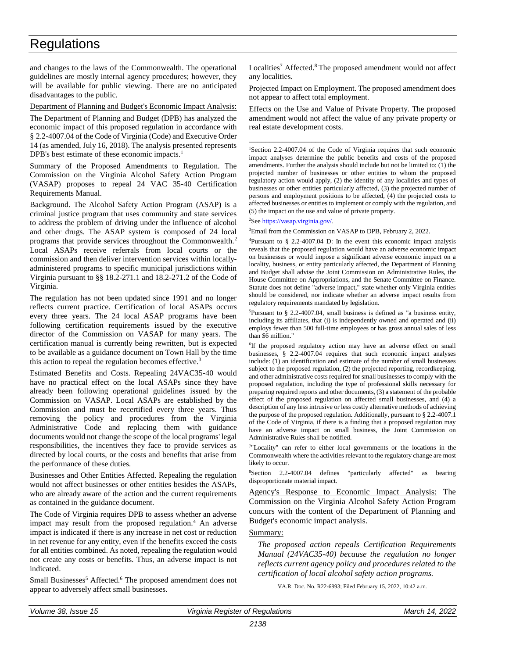and changes to the laws of the Commonwealth. The operational guidelines are mostly internal agency procedures; however, they will be available for public viewing. There are no anticipated disadvantages to the public.

Department of Planning and Budget's Economic Impact Analysis:

The Department of Planning and Budget (DPB) has analyzed the economic impact of this proposed regulation in accordance with § 2.2-4007.04 of the Code of Virginia (Code) and Executive Order 14 (as amended, July 16, 2018). The analysis presented represents DPB's best estimate of these economic impacts.<sup>1</sup>

Summary of the Proposed Amendments to Regulation. The Commission on the Virginia Alcohol Safety Action Program (VASAP) proposes to repeal 24 VAC 35-40 Certification Requirements Manual.

Background. The Alcohol Safety Action Program (ASAP) is a criminal justice program that uses community and state services to address the problem of driving under the influence of alcohol and other drugs. The ASAP system is composed of 24 local programs that provide services throughout the Commonwealth.<sup>2</sup> Local ASAPs receive referrals from local courts or the commission and then deliver intervention services within locallyadministered programs to specific municipal jurisdictions within Virginia pursuant to §§ 18.2-271.1 and 18.2-271.2 of the Code of Virginia.

The regulation has not been updated since 1991 and no longer reflects current practice. Certification of local ASAPs occurs every three years. The 24 local ASAP programs have been following certification requirements issued by the executive director of the Commission on VASAP for many years. The certification manual is currently being rewritten, but is expected to be available as a guidance document on Town Hall by the time this action to repeal the regulation becomes effective.<sup>3</sup>

Estimated Benefits and Costs. Repealing 24VAC35-40 would have no practical effect on the local ASAPs since they have already been following operational guidelines issued by the Commission on VASAP. Local ASAPs are established by the Commission and must be recertified every three years. Thus removing the policy and procedures from the Virginia Administrative Code and replacing them with guidance documents would not change the scope of the local programs' legal responsibilities, the incentives they face to provide services as directed by local courts, or the costs and benefits that arise from the performance of these duties.

Businesses and Other Entities Affected. Repealing the regulation would not affect businesses or other entities besides the ASAPs, who are already aware of the action and the current requirements as contained in the guidance document.

The Code of Virginia requires DPB to assess whether an adverse impact may result from the proposed regulation.<sup>4</sup> An adverse impact is indicated if there is any increase in net cost or reduction in net revenue for any entity, even if the benefits exceed the costs for all entities combined. As noted, repealing the regulation would not create any costs or benefits. Thus, an adverse impact is not indicated.

Small Businesses<sup>5</sup> Affected.<sup>6</sup> The proposed amendment does not appear to adversely affect small businesses.

Localities<sup>7</sup> Affected.<sup>8</sup> The proposed amendment would not affect any localities.

Projected Impact on Employment. The proposed amendment does not appear to affect total employment.

Effects on the Use and Value of Private Property. The proposed amendment would not affect the value of any private property or real estate development costs.

\_\_\_\_\_\_\_\_\_\_\_\_\_\_\_\_\_\_\_\_\_\_\_\_\_\_\_\_\_\_\_\_\_\_\_\_\_\_\_

<sup>1</sup>Section 2.2-4007.04 of the Code of Virginia requires that such economic impact analyses determine the public benefits and costs of the proposed amendments. Further the analysis should include but not be limited to: (1) the projected number of businesses or other entities to whom the proposed regulatory action would apply, (2) the identity of any localities and types of businesses or other entities particularly affected, (3) the projected number of persons and employment positions to be affected, (4) the projected costs to affected businesses or entities to implement or comply with the regulation, and (5) the impact on the use and value of private property.

<sup>2</sup>Se[e https://vasap.virginia.gov/.](https://vasap.virginia.gov/)

<sup>3</sup>Email from the Commission on VASAP to DPB, February 2, 2022.

<sup>4</sup>Pursuant to  $\S$  2.2-4007.04 D: In the event this economic impact analysis reveals that the proposed regulation would have an adverse economic impact on businesses or would impose a significant adverse economic impact on a locality, business, or entity particularly affected, the Department of Planning and Budget shall advise the Joint Commission on Administrative Rules, the House Committee on Appropriations, and the Senate Committee on Finance. Statute does not define "adverse impact," state whether only Virginia entities should be considered, nor indicate whether an adverse impact results from regulatory requirements mandated by legislation.

<sup>5</sup>Pursuant to  $\S$  2.2-4007.04, small business is defined as "a business entity, including its affiliates, that (i) is independently owned and operated and (ii) employs fewer than 500 full-time employees or has gross annual sales of less than \$6 million."

<sup>6</sup>If the proposed regulatory action may have an adverse effect on small businesses, § 2.2-4007.04 requires that such economic impact analyses include: (1) an identification and estimate of the number of small businesses subject to the proposed regulation, (2) the projected reporting, recordkeeping, and other administrative costs required for small businesses to comply with the proposed regulation, including the type of professional skills necessary for preparing required reports and other documents, (3) a statement of the probable effect of the proposed regulation on affected small businesses, and (4) a description of any less intrusive or less costly alternative methods of achieving the purpose of the proposed regulation. Additionally, pursuant to § 2.2-4007.1 of the Code of Virginia, if there is a finding that a proposed regulation may have an adverse impact on small business, the Joint Commission on Administrative Rules shall be notified.

<sup>7</sup>"Locality" can refer to either local governments or the locations in the Commonwealth where the activities relevant to the regulatory change are most likely to occur.

<sup>8</sup>Section 2.2-4007.04 defines "particularly affected" as bearing disproportionate material impact.

Agency's Response to Economic Impact Analysis: The Commission on the Virginia Alcohol Safety Action Program concurs with the content of the Department of Planning and Budget's economic impact analysis.

### Summary:

*The proposed action repeals Certification Requirements Manual (24VAC35-40) because the regulation no longer reflects current agency policy and procedures related to the certification of local alcohol safety action programs.*

VA.R. Doc. No. R22-6993; Filed February 15, 2022, 10:42 a.m.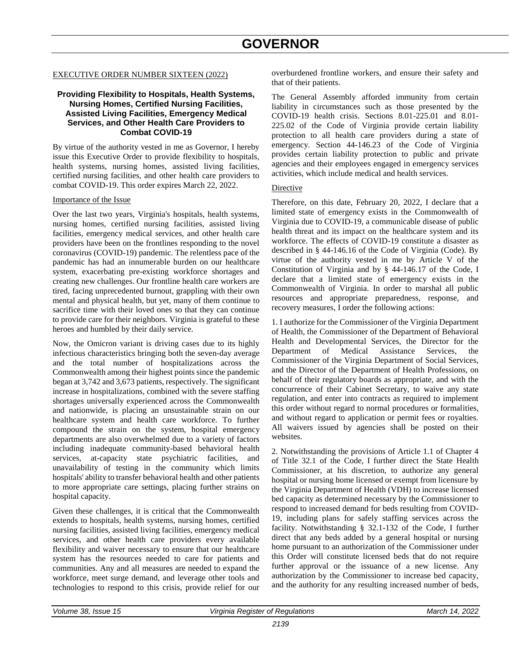# **GOVERNOR**

#### <span id="page-26-0"></span>EXECUTIVE ORDER NUMBER SIXTEEN (2022)

#### **Providing Flexibility to Hospitals, Health Systems, Nursing Homes, Certified Nursing Facilities, Assisted Living Facilities, Emergency Medical Services, and Other Health Care Providers to Combat COVID-19**

By virtue of the authority vested in me as Governor, I hereby issue this Executive Order to provide flexibility to hospitals, health systems, nursing homes, assisted living facilities, certified nursing facilities, and other health care providers to combat COVID-19. This order expires March 22, 2022.

#### Importance of the Issue

Over the last two years, Virginia's hospitals, health systems, nursing homes, certified nursing facilities, assisted living facilities, emergency medical services, and other health care providers have been on the frontlines responding to the novel coronavirus (COVID-19) pandemic. The relentless pace of the pandemic has had an innumerable burden on our healthcare system, exacerbating pre-existing workforce shortages and creating new challenges. Our frontline health care workers are tired, facing unprecedented burnout, grappling with their own mental and physical health, but yet, many of them continue to sacrifice time with their loved ones so that they can continue to provide care for their neighbors. Virginia is grateful to these heroes and humbled by their daily service.

Now, the Omicron variant is driving cases due to its highly infectious characteristics bringing both the seven-day average and the total number of hospitalizations across the Commonwealth among their highest points since the pandemic began at 3,742 and 3,673 patients, respectively. The significant increase in hospitalizations, combined with the severe staffing shortages universally experienced across the Commonwealth and nationwide, is placing an unsustainable strain on our healthcare system and health care workforce. To further compound the strain on the system, hospital emergency departments are also overwhelmed due to a variety of factors including inadequate community-based behavioral health services, at-capacity state psychiatric facilities, and unavailability of testing in the community which limits hospitals' ability to transfer behavioral health and other patients to more appropriate care settings, placing further strains on hospital capacity.

Given these challenges, it is critical that the Commonwealth extends to hospitals, health systems, nursing homes, certified nursing facilities, assisted living facilities, emergency medical services, and other health care providers every available flexibility and waiver necessary to ensure that our healthcare system has the resources needed to care for patients and communities. Any and all measures are needed to expand the workforce, meet surge demand, and leverage other tools and technologies to respond to this crisis, provide relief for our overburdened frontline workers, and ensure their safety and that of their patients.

The General Assembly afforded immunity from certain liability in circumstances such as those presented by the COVID-19 health crisis. Sections 8.01-225.01 and 8.01- 225.02 of the Code of Virginia provide certain liability protection to all health care providers during a state of emergency. Section 44-146.23 of the Code of Virginia provides certain liability protection to public and private agencies and their employees engaged in emergency services activities, which include medical and health services.

#### Directive

Therefore, on this date, February 20, 2022, I declare that a limited state of emergency exists in the Commonwealth of Virginia due to COVID-19, a communicable disease of public health threat and its impact on the healthcare system and its workforce. The effects of COVID-19 constitute a disaster as described in § 44-146.16 of the Code of Virginia (Code). By virtue of the authority vested in me by Article V of the Constitution of Virginia and by § 44-146.17 of the Code, I declare that a limited state of emergency exists in the Commonwealth of Virginia. In order to marshal all public resources and appropriate preparedness, response, and recovery measures, I order the following actions:

1. I authorize for the Commissioner of the Virginia Department of Health, the Commissioner of the Department of Behavioral Health and Developmental Services, the Director for the Department of Medical Assistance Services, the Commissioner of the Virginia Department of Social Services, and the Director of the Department of Health Professions, on behalf of their regulatory boards as appropriate, and with the concurrence of their Cabinet Secretary, to waive any state regulation, and enter into contracts as required to implement this order without regard to normal procedures or formalities, and without regard to application or permit fees or royalties. All waivers issued by agencies shall be posted on their websites.

2. Notwithstanding the provisions of Article 1.1 of Chapter 4 of Title 32.1 of the Code, I further direct the State Health Commissioner, at his discretion, to authorize any general hospital or nursing home licensed or exempt from licensure by the Virginia Department of Health (VDH) to increase licensed bed capacity as determined necessary by the Commissioner to respond to increased demand for beds resulting from COVID-19, including plans for safely staffing services across the facility. Notwithstanding § 32.1-132 of the Code, I further direct that any beds added by a general hospital or nursing home pursuant to an authorization of the Commissioner under this Order will constitute licensed beds that do not require further approval or the issuance of a new license. Any authorization by the Commissioner to increase bed capacity, and the authority for any resulting increased number of beds,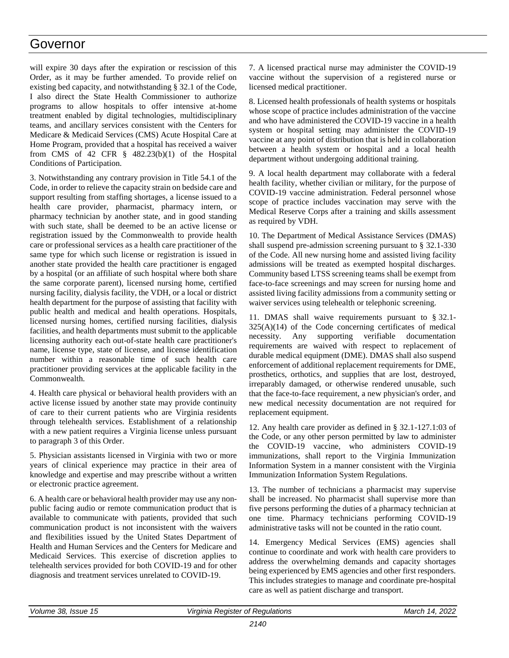# Governor

will expire 30 days after the expiration or rescission of this Order, as it may be further amended. To provide relief on existing bed capacity, and notwithstanding § 32.1 of the Code, I also direct the State Health Commissioner to authorize programs to allow hospitals to offer intensive at-home treatment enabled by digital technologies, multidisciplinary teams, and ancillary services consistent with the Centers for Medicare & Medicaid Services (CMS) Acute Hospital Care at Home Program, provided that a hospital has received a waiver from CMS of 42 CFR  $\S$  482.23(b)(1) of the Hospital Conditions of Participation.

3. Notwithstanding any contrary provision in Title 54.1 of the Code, in order to relieve the capacity strain on bedside care and support resulting from staffing shortages, a license issued to a health care provider, pharmacist, pharmacy intern, or pharmacy technician by another state, and in good standing with such state, shall be deemed to be an active license or registration issued by the Commonwealth to provide health care or professional services as a health care practitioner of the same type for which such license or registration is issued in another state provided the health care practitioner is engaged by a hospital (or an affiliate of such hospital where both share the same corporate parent), licensed nursing home, certified nursing facility, dialysis facility, the VDH, or a local or district health department for the purpose of assisting that facility with public health and medical and health operations. Hospitals, licensed nursing homes, certified nursing facilities, dialysis facilities, and health departments must submit to the applicable licensing authority each out-of-state health care practitioner's name, license type, state of license, and license identification number within a reasonable time of such health care practitioner providing services at the applicable facility in the Commonwealth.

4. Health care physical or behavioral health providers with an active license issued by another state may provide continuity of care to their current patients who are Virginia residents through telehealth services. Establishment of a relationship with a new patient requires a Virginia license unless pursuant to paragraph 3 of this Order.

5. Physician assistants licensed in Virginia with two or more years of clinical experience may practice in their area of knowledge and expertise and may prescribe without a written or electronic practice agreement.

6. A health care or behavioral health provider may use any nonpublic facing audio or remote communication product that is available to communicate with patients, provided that such communication product is not inconsistent with the waivers and flexibilities issued by the United States Department of Health and Human Services and the Centers for Medicare and Medicaid Services. This exercise of discretion applies to telehealth services provided for both COVID-19 and for other diagnosis and treatment services unrelated to COVID-19.

7. A licensed practical nurse may administer the COVID-19 vaccine without the supervision of a registered nurse or licensed medical practitioner.

8. Licensed health professionals of health systems or hospitals whose scope of practice includes administration of the vaccine and who have administered the COVID-19 vaccine in a health system or hospital setting may administer the COVID-19 vaccine at any point of distribution that is held in collaboration between a health system or hospital and a local health department without undergoing additional training.

9. A local health department may collaborate with a federal health facility, whether civilian or military, for the purpose of COVID-19 vaccine administration. Federal personnel whose scope of practice includes vaccination may serve with the Medical Reserve Corps after a training and skills assessment as required by VDH.

10. The Department of Medical Assistance Services (DMAS) shall suspend pre-admission screening pursuant to § 32.1-330 of the Code. All new nursing home and assisted living facility admissions will be treated as exempted hospital discharges. Community based LTSS screening teams shall be exempt from face-to-face screenings and may screen for nursing home and assisted living facility admissions from a community setting or waiver services using telehealth or telephonic screening.

11. DMAS shall waive requirements pursuant to § 32.1-  $325(A)(14)$  of the Code concerning certificates of medical necessity. Any supporting verifiable documentation requirements are waived with respect to replacement of durable medical equipment (DME). DMAS shall also suspend enforcement of additional replacement requirements for DME, prosthetics, orthotics, and supplies that are lost, destroyed, irreparably damaged, or otherwise rendered unusable, such that the face-to-face requirement, a new physician's order, and new medical necessity documentation are not required for replacement equipment.

12. Any health care provider as defined in § 32.1-127.1:03 of the Code, or any other person permitted by law to administer the COVID-19 vaccine, who administers COVID-19 immunizations, shall report to the Virginia Immunization Information System in a manner consistent with the Virginia Immunization Information System Regulations.

13. The number of technicians a pharmacist may supervise shall be increased. No pharmacist shall supervise more than five persons performing the duties of a pharmacy technician at one time. Pharmacy technicians performing COVID-19 administrative tasks will not be counted in the ratio count.

14. Emergency Medical Services (EMS) agencies shall continue to coordinate and work with health care providers to address the overwhelming demands and capacity shortages being experienced by EMS agencies and other first responders. This includes strategies to manage and coordinate pre-hospital care as well as patient discharge and transport.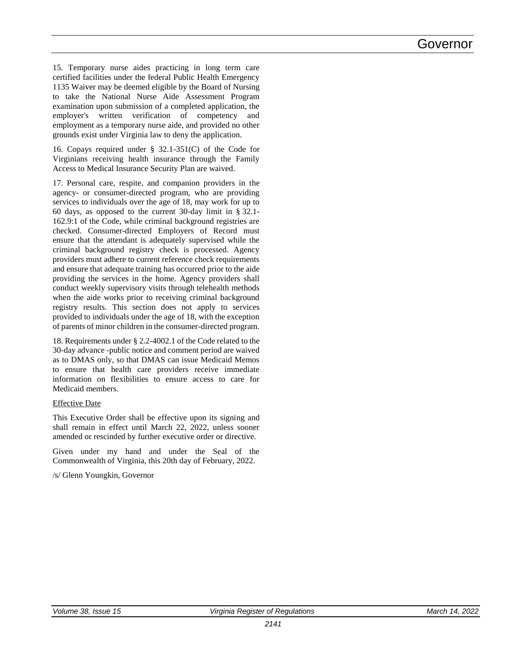15. Temporary nurse aides practicing in long term care certified facilities under the federal Public Health Emergency 1135 Waiver may be deemed eligible by the Board of Nursing to take the National Nurse Aide Assessment Program examination upon submission of a completed application, the employer's written verification of competency and employment as a temporary nurse aide, and provided no other grounds exist under Virginia law to deny the application.

16. Copays required under § 32.1-351(C) of the Code for Virginians receiving health insurance through the Family Access to Medical Insurance Security Plan are waived.

17. Personal care, respite, and companion providers in the agency- or consumer-directed program, who are providing services to individuals over the age of 18, may work for up to 60 days, as opposed to the current 30-day limit in § 32.1- 162.9:1 of the Code, while criminal background registries are checked. Consumer-directed Employers of Record must ensure that the attendant is adequately supervised while the criminal background registry check is processed. Agency providers must adhere to current reference check requirements and ensure that adequate training has occurred prior to the aide providing the services in the home. Agency providers shall conduct weekly supervisory visits through telehealth methods when the aide works prior to receiving criminal background registry results. This section does not apply to services provided to individuals under the age of 18, with the exception of parents of minor children in the consumer-directed program.

18. Requirements under § 2.2-4002.1 of the Code related to the 30-day advance -public notice and comment period are waived as to DMAS only, so that DMAS can issue Medicaid Memos to ensure that health care providers receive immediate information on flexibilities to ensure access to care for Medicaid members.

# Effective Date

This Executive Order shall be effective upon its signing and shall remain in effect until March 22, 2022, unless sooner amended or rescinded by further executive order or directive.

Given under my hand and under the Seal of the Commonwealth of Virginia, this 20th day of February, 2022.

/s/ Glenn Youngkin, Governor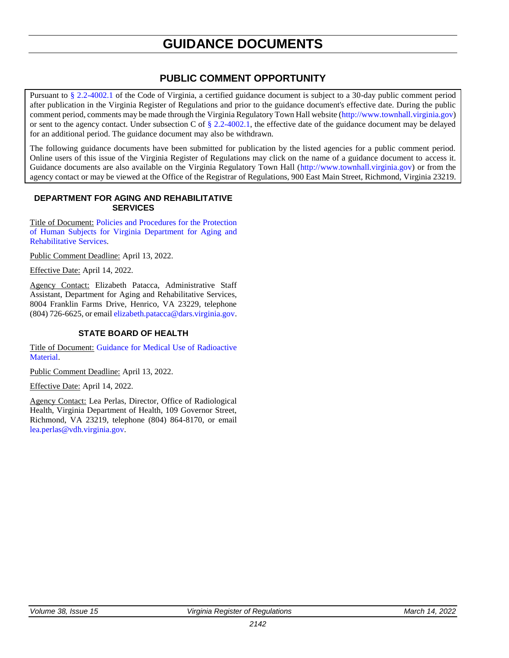# **GUIDANCE DOCUMENTS**

# **PUBLIC COMMENT OPPORTUNITY**

<span id="page-29-0"></span>Pursuant to [§ 2.2-4002.1](https://law.lis.virginia.gov/vacode/title2.2/chapter40/section2.2-4002.1/) of the Code of Virginia, a certified guidance document is subject to a 30-day public comment period after publication in the Virginia Register of Regulations and prior to the guidance document's effective date. During the public comment period, comments may be made through the Virginia Regulatory Town Hall website [\(http://www.townhall.virginia.gov\)](http://www.townhall.virginia.gov/) or sent to the agency contact. Under subsection C of  $\S 2.2-4002.1$ , the effective date of the guidance document may be delayed for an additional period. The guidance document may also be withdrawn.

The following guidance documents have been submitted for publication by the listed agencies for a public comment period. Online users of this issue of the Virginia Register of Regulations may click on the name of a guidance document to access it. Guidance documents are also available on the Virginia Regulatory Town Hall [\(http://www.townhall.virginia.gov\)](http://www.townhall.virginia.gov/) or from the agency contact or may be viewed at the Office of the Registrar of Regulations, 900 East Main Street, Richmond, Virginia 23219.

### **DEPARTMENT FOR AGING AND REHABILITATIVE SERVICES**

Title of Document: [Policies and Procedures for the Protection](https://www.vadars.org/hrrc/downloads/HRRC%20Policy%20Manual_FINAL_11-30-21.pdf)  [of Human Subjects for Virginia Department](https://www.vadars.org/hrrc/downloads/HRRC%20Policy%20Manual_FINAL_11-30-21.pdf) for Aging and [Rehabilitative Services.](https://www.vadars.org/hrrc/downloads/HRRC%20Policy%20Manual_FINAL_11-30-21.pdf)

Public Comment Deadline: April 13, 2022.

Effective Date: April 14, 2022.

Agency Contact: Elizabeth Patacca, Administrative Staff Assistant, Department for Aging and Rehabilitative Services, 8004 Franklin Farms Drive, Henrico, VA 23229, telephone (804) 726-6625, or email [elizabeth.patacca@dars.virginia.gov.](mailto:elizabeth.patacca@dars.virginia.gov)

# **STATE BOARD OF HEALTH**

Title of Document: [Guidance for Medical Use of Radioactive](https://townhall.virginia.gov/L/GetFile.cfm?File=C:/TownHall/docroot/GuidanceDocs_Proposed/601/GDoc_VDH_6095_20220222.pdf)  [Material.](https://townhall.virginia.gov/L/GetFile.cfm?File=C:/TownHall/docroot/GuidanceDocs_Proposed/601/GDoc_VDH_6095_20220222.pdf)

Public Comment Deadline: April 13, 2022.

Effective Date: April 14, 2022.

Agency Contact: Lea Perlas, Director, Office of Radiological Health, Virginia Department of Health, 109 Governor Street, Richmond, VA 23219, telephone (804) 864-8170, or email [lea.perlas@vdh.virginia.gov.](mailto:lea.perlas@vdh.virginia.gov)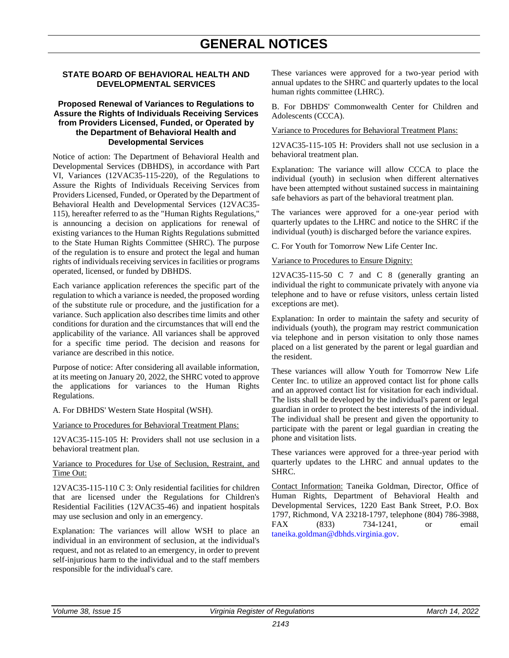# <span id="page-30-0"></span>**STATE BOARD OF BEHAVIORAL HEALTH AND DEVELOPMENTAL SERVICES**

### **Proposed Renewal of Variances to Regulations to Assure the Rights of Individuals Receiving Services from Providers Licensed, Funded, or Operated by the Department of Behavioral Health and Developmental Services**

Notice of action: The Department of Behavioral Health and Developmental Services (DBHDS), in accordance with Part VI, Variances (12VAC35-115-220), of the Regulations to Assure the Rights of Individuals Receiving Services from Providers Licensed, Funded, or Operated by the Department of Behavioral Health and Developmental Services (12VAC35- 115), hereafter referred to as the "Human Rights Regulations," is announcing a decision on applications for renewal of existing variances to the Human Rights Regulations submitted to the State Human Rights Committee (SHRC). The purpose of the regulation is to ensure and protect the legal and human rights of individuals receiving services in facilities or programs operated, licensed, or funded by DBHDS.

Each variance application references the specific part of the regulation to which a variance is needed, the proposed wording of the substitute rule or procedure, and the justification for a variance. Such application also describes time limits and other conditions for duration and the circumstances that will end the applicability of the variance. All variances shall be approved for a specific time period. The decision and reasons for variance are described in this notice.

Purpose of notice: After considering all available information, at its meeting on January 20, 2022, the SHRC voted to approve the applications for variances to the Human Rights Regulations.

A. For DBHDS' Western State Hospital (WSH).

Variance to Procedures for Behavioral Treatment Plans:

12VAC35-115-105 H: Providers shall not use seclusion in a behavioral treatment plan.

Variance to Procedures for Use of Seclusion, Restraint, and Time Out:

12VAC35-115-110 C 3: Only residential facilities for children that are licensed under the Regulations for Children's Residential Facilities (12VAC35-46) and inpatient hospitals may use seclusion and only in an emergency.

Explanation: The variances will allow WSH to place an individual in an environment of seclusion, at the individual's request, and not as related to an emergency, in order to prevent self-injurious harm to the individual and to the staff members responsible for the individual's care.

These variances were approved for a two-year period with annual updates to the SHRC and quarterly updates to the local human rights committee (LHRC).

B. For DBHDS' Commonwealth Center for Children and Adolescents (CCCA).

Variance to Procedures for Behavioral Treatment Plans:

12VAC35-115-105 H: Providers shall not use seclusion in a behavioral treatment plan.

Explanation: The variance will allow CCCA to place the individual (youth) in seclusion when different alternatives have been attempted without sustained success in maintaining safe behaviors as part of the behavioral treatment plan.

The variances were approved for a one-year period with quarterly updates to the LHRC and notice to the SHRC if the individual (youth) is discharged before the variance expires.

C. For Youth for Tomorrow New Life Center Inc.

#### Variance to Procedures to Ensure Dignity:

12VAC35-115-50 C 7 and C 8 (generally granting an individual the right to communicate privately with anyone via telephone and to have or refuse visitors, unless certain listed exceptions are met).

Explanation: In order to maintain the safety and security of individuals (youth), the program may restrict communication via telephone and in person visitation to only those names placed on a list generated by the parent or legal guardian and the resident.

These variances will allow Youth for Tomorrow New Life Center Inc. to utilize an approved contact list for phone calls and an approved contact list for visitation for each individual. The lists shall be developed by the individual's parent or legal guardian in order to protect the best interests of the individual. The individual shall be present and given the opportunity to participate with the parent or legal guardian in creating the phone and visitation lists.

These variances were approved for a three-year period with quarterly updates to the LHRC and annual updates to the SHRC.

Contact Information: Taneika Goldman, Director, Office of Human Rights, Department of Behavioral Health and Developmental Services, 1220 East Bank Street, P.O. Box 1797, Richmond, VA 23218-1797, telephone (804) 786-3988, FAX (833) 734-1241, or email [taneika.goldman@dbhds.virginia.gov.](mailto:taneika.goldman@dbhds.virginia.gov)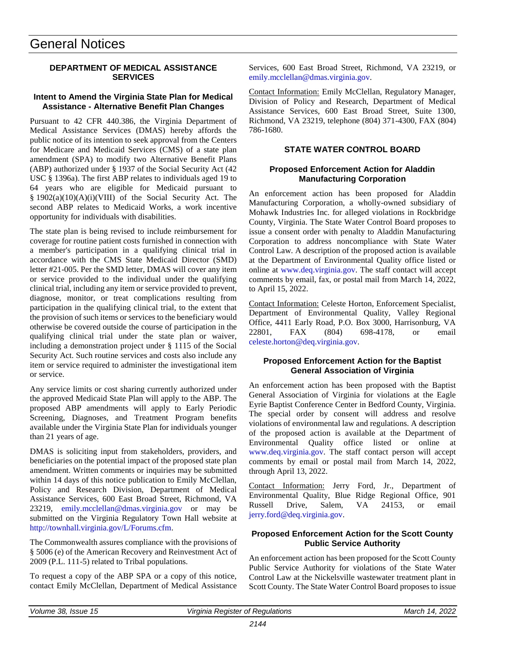# General Notices

# **DEPARTMENT OF MEDICAL ASSISTANCE SERVICES**

### **Intent to Amend the Virginia State Plan for Medical Assistance - Alternative Benefit Plan Changes**

Pursuant to 42 CFR 440.386, the Virginia Department of Medical Assistance Services (DMAS) hereby affords the public notice of its intention to seek approval from the Centers for Medicare and Medicaid Services (CMS) of a state plan amendment (SPA) to modify two Alternative Benefit Plans (ABP) authorized under § 1937 of the Social Security Act (42 USC § 1396a). The first ABP relates to individuals aged 19 to 64 years who are eligible for Medicaid pursuant to § 1902(a)(10)(A)(i)(VIII) of the Social Security Act. The second ABP relates to Medicaid Works, a work incentive opportunity for individuals with disabilities.

The state plan is being revised to include reimbursement for coverage for routine patient costs furnished in connection with a member's participation in a qualifying clinical trial in accordance with the CMS State Medicaid Director (SMD) letter #21-005. Per the SMD letter, DMAS will cover any item or service provided to the individual under the qualifying clinical trial, including any item or service provided to prevent, diagnose, monitor, or treat complications resulting from participation in the qualifying clinical trial, to the extent that the provision of such items or services to the beneficiary would otherwise be covered outside the course of participation in the qualifying clinical trial under the state plan or waiver, including a demonstration project under § 1115 of the Social Security Act. Such routine services and costs also include any item or service required to administer the investigational item or service.

Any service limits or cost sharing currently authorized under the approved Medicaid State Plan will apply to the ABP. The proposed ABP amendments will apply to Early Periodic Screening, Diagnoses, and Treatment Program benefits available under the Virginia State Plan for individuals younger than 21 years of age.

DMAS is soliciting input from stakeholders, providers, and beneficiaries on the potential impact of the proposed state plan amendment. Written comments or inquiries may be submitted within 14 days of this notice publication to Emily McClellan, Policy and Research Division, Department of Medical Assistance Services, 600 East Broad Street, Richmond, VA 23219, [emily.mcclellan@dmas.virginia.gov](mailto:emily.mcclellan@dmas.virginia.gov) or may be submitted on the Virginia Regulatory Town Hall website at [http://townhall.virginia.gov/L/Forums.cfm.](http://townhall.virginia.gov/L/Forums.cfm)

The Commonwealth assures compliance with the provisions of § 5006 (e) of the American Recovery and Reinvestment Act of 2009 (P.L. 111-5) related to Tribal populations.

To request a copy of the ABP SPA or a copy of this notice, contact Emily McClellan, Department of Medical Assistance Services, 600 East Broad Street, Richmond, VA 23219, or [emily.mcclellan@dmas.virginia.gov.](mailto:emily.mcclellan@dmas.virginia.gov)

Contact Information: Emily McClellan, Regulatory Manager, Division of Policy and Research, Department of Medical Assistance Services, 600 East Broad Street, Suite 1300, Richmond, VA 23219, telephone (804) 371-4300, FAX (804) 786-1680.

# **STATE WATER CONTROL BOARD**

# **Proposed Enforcement Action for Aladdin Manufacturing Corporation**

An enforcement action has been proposed for Aladdin Manufacturing Corporation, a wholly-owned subsidiary of Mohawk Industries Inc. for alleged violations in Rockbridge County, Virginia. The State Water Control Board proposes to issue a consent order with penalty to Aladdin Manufacturing Corporation to address noncompliance with State Water Control Law. A description of the proposed action is available at the Department of Environmental Quality office listed or online at [www.deq.virginia.gov.](http://www.deq.virginia.gov/) The staff contact will accept comments by email, fax, or postal mail from March 14, 2022, to April 15, 2022.

Contact Information: Celeste Horton, Enforcement Specialist, Department of Environmental Quality, Valley Regional Office, 4411 Early Road, P.O. Box 3000, Harrisonburg, VA 22801, FAX (804) 698-4178, or email [celeste.horton@deq.virginia.gov.](mailto:celeste.horton@deq.virginia.gov)

# **Proposed Enforcement Action for the Baptist General Association of Virginia**

An enforcement action has been proposed with the Baptist General Association of Virginia for violations at the Eagle Eyrie Baptist Conference Center in Bedford County, Virginia. The special order by consent will address and resolve violations of environmental law and regulations. A description of the proposed action is available at the Department of Environmental Quality office listed or online at [www.deq.virginia.gov.](http://www.deq.virginia.gov/) The staff contact person will accept comments by email or postal mail from March 14, 2022, through April 13, 2022.

Contact Information: Jerry Ford, Jr., Department of Environmental Quality, Blue Ridge Regional Office, 901 Russell Drive, Salem, VA 24153, or email [jerry.ford@deq.virginia.gov.](mailto:jerry.ford@deq.virginia.gov)

### **Proposed Enforcement Action for the Scott County Public Service Authority**

An enforcement action has been proposed for the Scott County Public Service Authority for violations of the State Water Control Law at the Nickelsville wastewater treatment plant in Scott County. The State Water Control Board proposes to issue